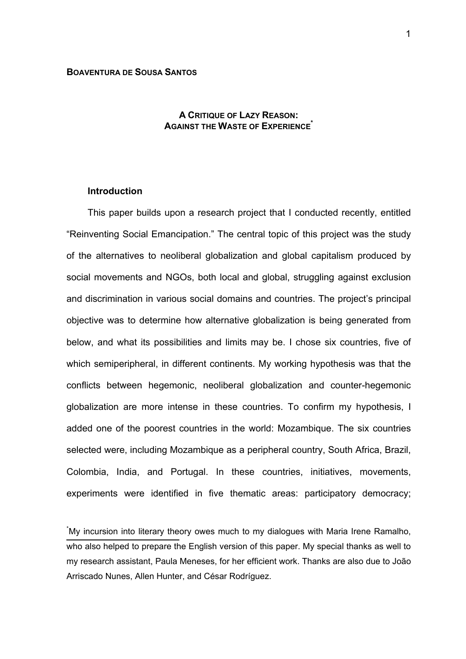## **A CRITIQUE OF LAZY REASON: AGAINST THE WASTE OF EXPERIENCE\***

#### **Introduction**

This paper builds upon a research project that I conducted recently, entitled "Reinventing Social Emancipation." The central topic of this project was the study of the alternatives to neoliberal globalization and global capitalism produced by social movements and NGOs, both local and global, struggling against exclusion and discrimination in various social domains and countries. The project's principal objective was to determine how alternative globalization is being generated from below, and what its possibilities and limits may be. I chose six countries, five of which semiperipheral, in different continents. My working hypothesis was that the conflicts between hegemonic, neoliberal globalization and counter-hegemonic globalization are more intense in these countries. To confirm my hypothesis, I added one of the poorest countries in the world: Mozambique. The six countries selected were, including Mozambique as a peripheral country, South Africa, Brazil, Colombia, India, and Portugal. In these countries, initiatives, movements, experiments were identified in five thematic areas: participatory democracy;

\* My incursion into literary theory owes much to my dialogues with Maria Irene Ramalho, who also helped to prepare the English version of this paper. My special thanks as well to my research assistant, Paula Meneses, for her efficient work. Thanks are also due to João Arriscado Nunes, Allen Hunter, and César Rodríguez.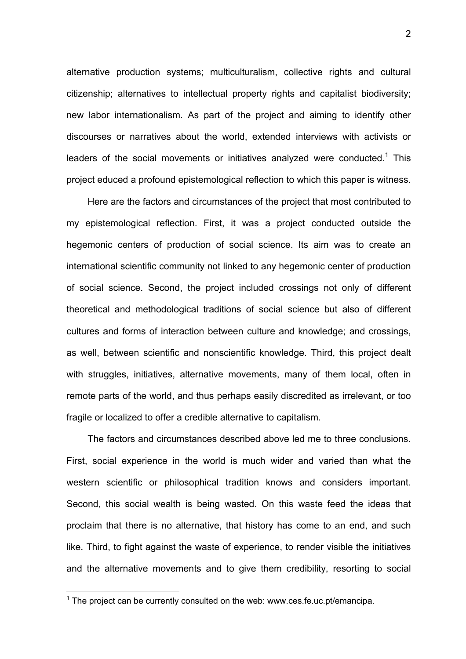alternative production systems; multiculturalism, collective rights and cultural citizenship; alternatives to intellectual property rights and capitalist biodiversity; new labor internationalism. As part of the project and aiming to identify other discourses or narratives about the world, extended interviews with activists or leaders of the social movements or initiatives analyzed were conducted.<sup>1</sup> This project educed a profound epistemological reflection to which this paper is witness.

Here are the factors and circumstances of the project that most contributed to my epistemological reflection. First, it was a project conducted outside the hegemonic centers of production of social science. Its aim was to create an international scientific community not linked to any hegemonic center of production of social science. Second, the project included crossings not only of different theoretical and methodological traditions of social science but also of different cultures and forms of interaction between culture and knowledge; and crossings, as well, between scientific and nonscientific knowledge. Third, this project dealt with struggles, initiatives, alternative movements, many of them local, often in remote parts of the world, and thus perhaps easily discredited as irrelevant, or too fragile or localized to offer a credible alternative to capitalism.

The factors and circumstances described above led me to three conclusions. First, social experience in the world is much wider and varied than what the western scientific or philosophical tradition knows and considers important. Second, this social wealth is being wasted. On this waste feed the ideas that proclaim that there is no alternative, that history has come to an end, and such like. Third, to fight against the waste of experience, to render visible the initiatives and the alternative movements and to give them credibility, resorting to social

<sup>&</sup>lt;sup>1</sup> The project can be currently consulted on the web: www.ces.fe.uc.pt/emancipa.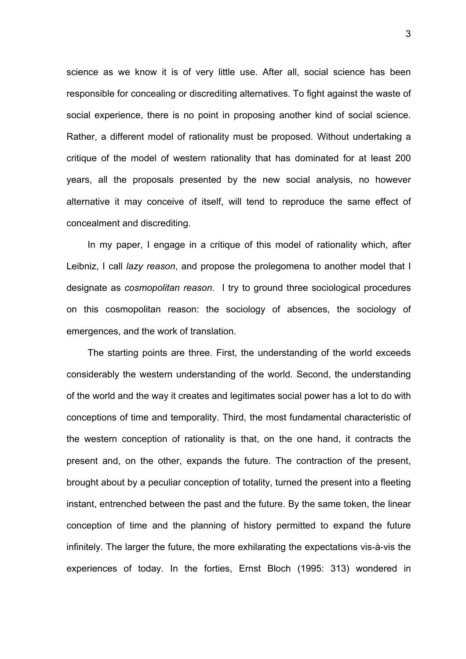science as we know it is of very little use. After all, social science has been responsible for concealing or discrediting alternatives. To fight against the waste of social experience, there is no point in proposing another kind of social science. Rather, a different model of rationality must be proposed. Without undertaking a critique of the model of western rationality that has dominated for at least 200 years, all the proposals presented by the new social analysis, no however alternative it may conceive of itself, will tend to reproduce the same effect of concealment and discrediting.

In my paper, I engage in a critique of this model of rationality which, after Leibniz, I call *lazy reason*, and propose the prolegomena to another model that I designate as *cosmopolitan reason*. I try to ground three sociological procedures on this cosmopolitan reason: the sociology of absences, the sociology of emergences, and the work of translation.

The starting points are three. First, the understanding of the world exceeds considerably the western understanding of the world. Second, the understanding of the world and the way it creates and legitimates social power has a lot to do with conceptions of time and temporality. Third, the most fundamental characteristic of the western conception of rationality is that, on the one hand, it contracts the present and, on the other, expands the future. The contraction of the present, brought about by a peculiar conception of totality, turned the present into a fleeting instant, entrenched between the past and the future. By the same token, the linear conception of time and the planning of history permitted to expand the future infinitely. The larger the future, the more exhilarating the expectations vis-à-vis the experiences of today. In the forties, Ernst Bloch (1995: 313) wondered in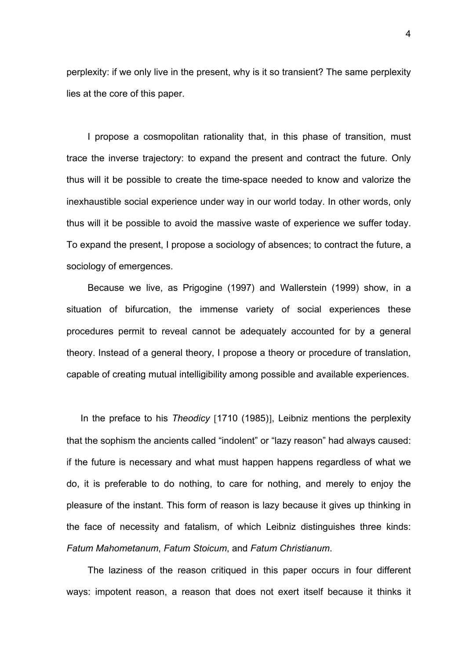perplexity: if we only live in the present, why is it so transient? The same perplexity lies at the core of this paper.

I propose a cosmopolitan rationality that, in this phase of transition, must trace the inverse trajectory: to expand the present and contract the future. Only thus will it be possible to create the time-space needed to know and valorize the inexhaustible social experience under way in our world today. In other words, only thus will it be possible to avoid the massive waste of experience we suffer today. To expand the present, I propose a sociology of absences; to contract the future, a sociology of emergences.

Because we live, as Prigogine (1997) and Wallerstein (1999) show, in a situation of bifurcation, the immense variety of social experiences these procedures permit to reveal cannot be adequately accounted for by a general theory. Instead of a general theory, I propose a theory or procedure of translation, capable of creating mutual intelligibility among possible and available experiences.

In the preface to his *Theodicy* [1710 (1985)], Leibniz mentions the perplexity that the sophism the ancients called "indolent" or "lazy reason" had always caused: if the future is necessary and what must happen happens regardless of what we do, it is preferable to do nothing, to care for nothing, and merely to enjoy the pleasure of the instant. This form of reason is lazy because it gives up thinking in the face of necessity and fatalism, of which Leibniz distinguishes three kinds: *Fatum Mahometanum*, *Fatum Stoicum*, and *Fatum Christianum*.

The laziness of the reason critiqued in this paper occurs in four different ways: impotent reason, a reason that does not exert itself because it thinks it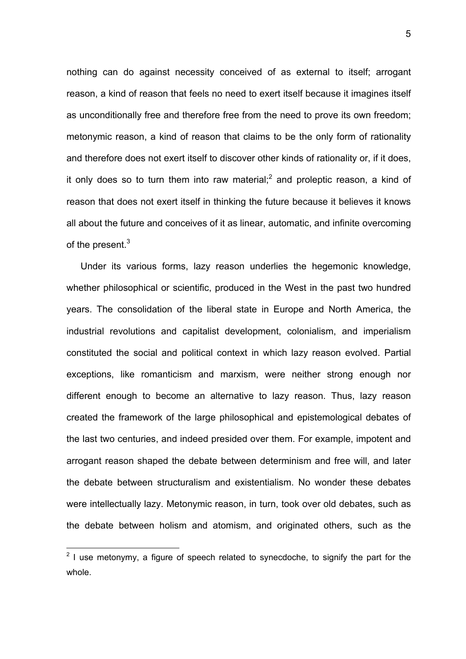nothing can do against necessity conceived of as external to itself; arrogant reason, a kind of reason that feels no need to exert itself because it imagines itself as unconditionally free and therefore free from the need to prove its own freedom; metonymic reason, a kind of reason that claims to be the only form of rationality and therefore does not exert itself to discover other kinds of rationality or, if it does, it only does so to turn them into raw material;<sup>2</sup> and proleptic reason, a kind of reason that does not exert itself in thinking the future because it believes it knows all about the future and conceives of it as linear, automatic, and infinite overcoming of the present. $3$ 

Under its various forms, lazy reason underlies the hegemonic knowledge, whether philosophical or scientific, produced in the West in the past two hundred years. The consolidation of the liberal state in Europe and North America, the industrial revolutions and capitalist development, colonialism, and imperialism constituted the social and political context in which lazy reason evolved. Partial exceptions, like romanticism and marxism, were neither strong enough nor different enough to become an alternative to lazy reason. Thus, lazy reason created the framework of the large philosophical and epistemological debates of the last two centuries, and indeed presided over them. For example, impotent and arrogant reason shaped the debate between determinism and free will, and later the debate between structuralism and existentialism. No wonder these debates were intellectually lazy. Metonymic reason, in turn, took over old debates, such as the debate between holism and atomism, and originated others, such as the

 $\overline{a}$ 

5

 $2$  I use metonymy, a figure of speech related to synecdoche, to signify the part for the whole.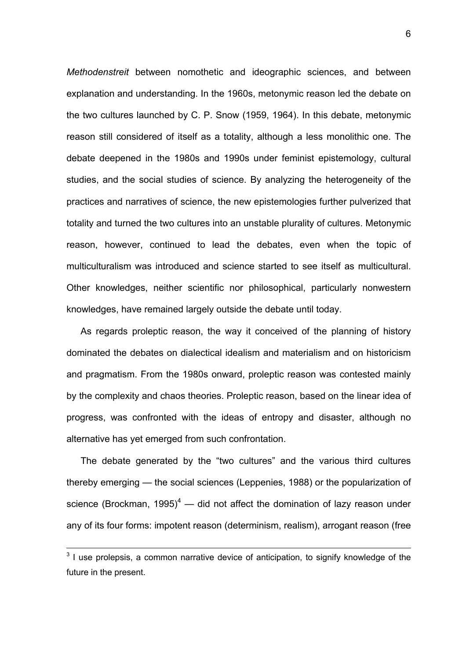*Methodenstreit* between nomothetic and ideographic sciences, and between explanation and understanding. In the 1960s, metonymic reason led the debate on the two cultures launched by C. P. Snow (1959, 1964). In this debate, metonymic reason still considered of itself as a totality, although a less monolithic one. The debate deepened in the 1980s and 1990s under feminist epistemology, cultural studies, and the social studies of science. By analyzing the heterogeneity of the practices and narratives of science, the new epistemologies further pulverized that totality and turned the two cultures into an unstable plurality of cultures. Metonymic reason, however, continued to lead the debates, even when the topic of multiculturalism was introduced and science started to see itself as multicultural. Other knowledges, neither scientific nor philosophical, particularly nonwestern knowledges, have remained largely outside the debate until today.

As regards proleptic reason, the way it conceived of the planning of history dominated the debates on dialectical idealism and materialism and on historicism and pragmatism. From the 1980s onward, proleptic reason was contested mainly by the complexity and chaos theories. Proleptic reason, based on the linear idea of progress, was confronted with the ideas of entropy and disaster, although no alternative has yet emerged from such confrontation.

The debate generated by the "two cultures" and the various third cultures thereby emerging — the social sciences (Leppenies, 1988) or the popularization of science (Brockman, 1995)<sup>4</sup> — did not affect the domination of lazy reason under any of its four forms: impotent reason (determinism, realism), arrogant reason (free

 $\overline{a}$ 

6

 $3$  I use prolepsis, a common narrative device of anticipation, to signify knowledge of the future in the present.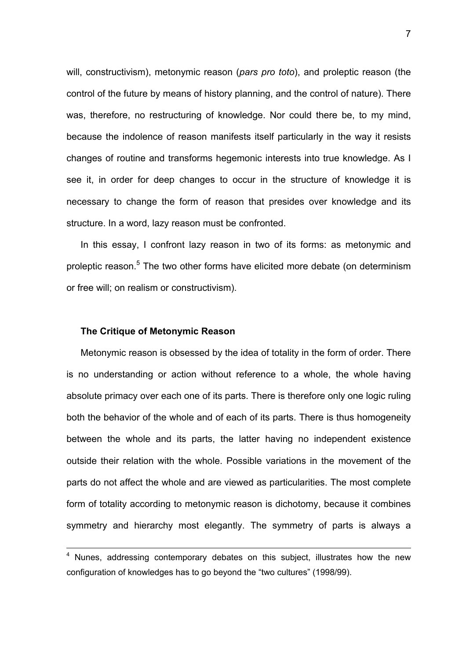will, constructivism), metonymic reason (*pars pro toto*), and proleptic reason (the control of the future by means of history planning, and the control of nature). There was, therefore, no restructuring of knowledge. Nor could there be, to my mind, because the indolence of reason manifests itself particularly in the way it resists changes of routine and transforms hegemonic interests into true knowledge. As I see it, in order for deep changes to occur in the structure of knowledge it is necessary to change the form of reason that presides over knowledge and its structure. In a word, lazy reason must be confronted.

In this essay, I confront lazy reason in two of its forms: as metonymic and proleptic reason.<sup>5</sup> The two other forms have elicited more debate (on determinism or free will; on realism or constructivism).

## **The Critique of Metonymic Reason**

 $\overline{a}$ 

Metonymic reason is obsessed by the idea of totality in the form of order. There is no understanding or action without reference to a whole, the whole having absolute primacy over each one of its parts. There is therefore only one logic ruling both the behavior of the whole and of each of its parts. There is thus homogeneity between the whole and its parts, the latter having no independent existence outside their relation with the whole. Possible variations in the movement of the parts do not affect the whole and are viewed as particularities. The most complete form of totality according to metonymic reason is dichotomy, because it combines symmetry and hierarchy most elegantly. The symmetry of parts is always a

<sup>&</sup>lt;sup>4</sup> Nunes, addressing contemporary debates on this subject, illustrates how the new configuration of knowledges has to go beyond the "two cultures" (1998/99).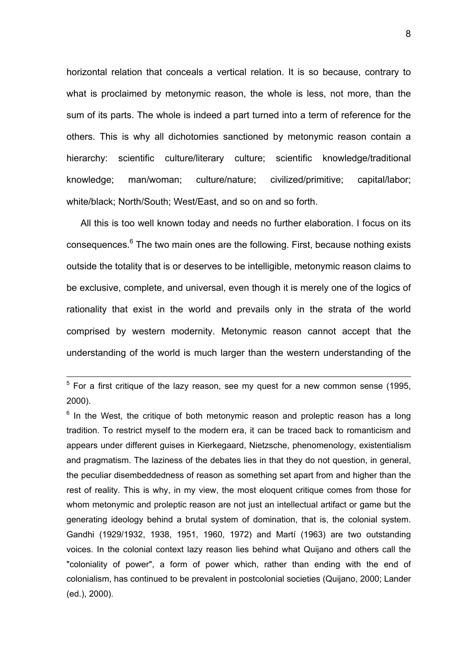horizontal relation that conceals a vertical relation. It is so because, contrary to what is proclaimed by metonymic reason, the whole is less, not more, than the sum of its parts. The whole is indeed a part turned into a term of reference for the others. This is why all dichotomies sanctioned by metonymic reason contain a hierarchy: scientific culture/literary culture; scientific knowledge/traditional knowledge; man/woman; culture/nature; civilized/primitive; capital/labor; white/black; North/South; West/East, and so on and so forth.

All this is too well known today and needs no further elaboration. I focus on its consequences.<sup>6</sup> The two main ones are the following. First, because nothing exists outside the totality that is or deserves to be intelligible, metonymic reason claims to be exclusive, complete, and universal, even though it is merely one of the logics of rationality that exist in the world and prevails only in the strata of the world comprised by western modernity. Metonymic reason cannot accept that the understanding of the world is much larger than the western understanding of the

5 For a first critique of the lazy reason, see my quest for a new common sense (1995, 2000).

 $6$  In the West, the critique of both metonymic reason and proleptic reason has a long tradition. To restrict myself to the modern era, it can be traced back to romanticism and appears under different guises in Kierkegaard, Nietzsche, phenomenology, existentialism and pragmatism. The laziness of the debates lies in that they do not question, in general, the peculiar disembeddedness of reason as something set apart from and higher than the rest of reality. This is why, in my view, the most eloquent critique comes from those for whom metonymic and proleptic reason are not just an intellectual artifact or game but the generating ideology behind a brutal system of domination, that is, the colonial system. Gandhi (1929/1932, 1938, 1951, 1960, 1972) and Martí (1963) are two outstanding voices. In the colonial context lazy reason lies behind what Quijano and others call the "coloniality of power", a form of power which, rather than ending with the end of colonialism, has continued to be prevalent in postcolonial societies (Quijano, 2000; Lander (ed.), 2000).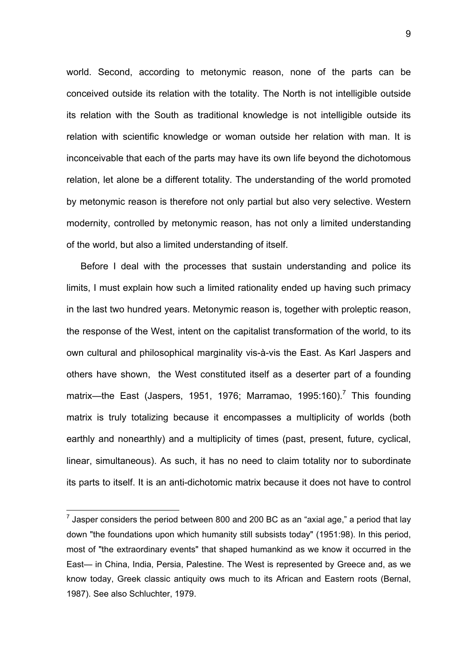world. Second, according to metonymic reason, none of the parts can be conceived outside its relation with the totality. The North is not intelligible outside its relation with the South as traditional knowledge is not intelligible outside its relation with scientific knowledge or woman outside her relation with man. It is inconceivable that each of the parts may have its own life beyond the dichotomous relation, let alone be a different totality. The understanding of the world promoted by metonymic reason is therefore not only partial but also very selective. Western modernity, controlled by metonymic reason, has not only a limited understanding of the world, but also a limited understanding of itself.

Before I deal with the processes that sustain understanding and police its limits, I must explain how such a limited rationality ended up having such primacy in the last two hundred years. Metonymic reason is, together with proleptic reason, the response of the West, intent on the capitalist transformation of the world, to its own cultural and philosophical marginality vis-à-vis the East. As Karl Jaspers and others have shown, the West constituted itself as a deserter part of a founding matrix—the East (Jaspers, 1951, 1976; Marramao, 1995:160).<sup>7</sup> This founding matrix is truly totalizing because it encompasses a multiplicity of worlds (both earthly and nonearthly) and a multiplicity of times (past, present, future, cyclical, linear, simultaneous). As such, it has no need to claim totality nor to subordinate its parts to itself. It is an anti-dichotomic matrix because it does not have to control

 $7$  Jasper considers the period between 800 and 200 BC as an "axial age," a period that lay down "the foundations upon which humanity still subsists today" (1951:98). In this period, most of "the extraordinary events" that shaped humankind as we know it occurred in the East— in China, India, Persia, Palestine. The West is represented by Greece and, as we know today, Greek classic antiquity ows much to its African and Eastern roots (Bernal, 1987). See also Schluchter, 1979.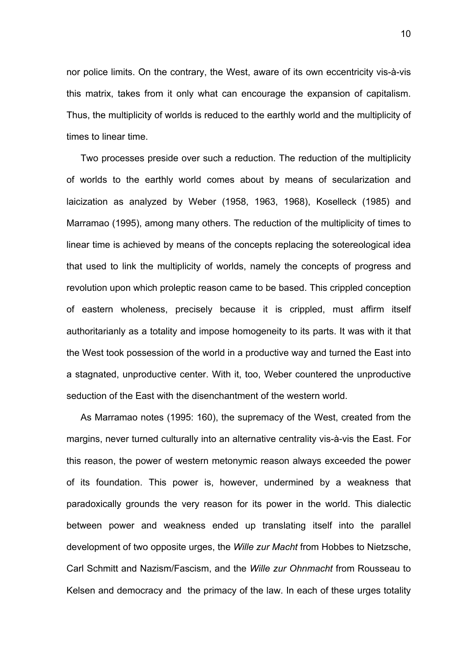nor police limits. On the contrary, the West, aware of its own eccentricity vis-à-vis this matrix, takes from it only what can encourage the expansion of capitalism. Thus, the multiplicity of worlds is reduced to the earthly world and the multiplicity of times to linear time.

Two processes preside over such a reduction. The reduction of the multiplicity of worlds to the earthly world comes about by means of secularization and laicization as analyzed by Weber (1958, 1963, 1968), Koselleck (1985) and Marramao (1995), among many others. The reduction of the multiplicity of times to linear time is achieved by means of the concepts replacing the sotereological idea that used to link the multiplicity of worlds, namely the concepts of progress and revolution upon which proleptic reason came to be based. This crippled conception of eastern wholeness, precisely because it is crippled, must affirm itself authoritarianly as a totality and impose homogeneity to its parts. It was with it that the West took possession of the world in a productive way and turned the East into a stagnated, unproductive center. With it, too, Weber countered the unproductive seduction of the East with the disenchantment of the western world.

As Marramao notes (1995: 160), the supremacy of the West, created from the margins, never turned culturally into an alternative centrality vis-à-vis the East. For this reason, the power of western metonymic reason always exceeded the power of its foundation. This power is, however, undermined by a weakness that paradoxically grounds the very reason for its power in the world. This dialectic between power and weakness ended up translating itself into the parallel development of two opposite urges, the *Wille zur Macht* from Hobbes to Nietzsche, Carl Schmitt and Nazism/Fascism, and the *Wille zur Ohnmacht* from Rousseau to Kelsen and democracy and the primacy of the law. In each of these urges totality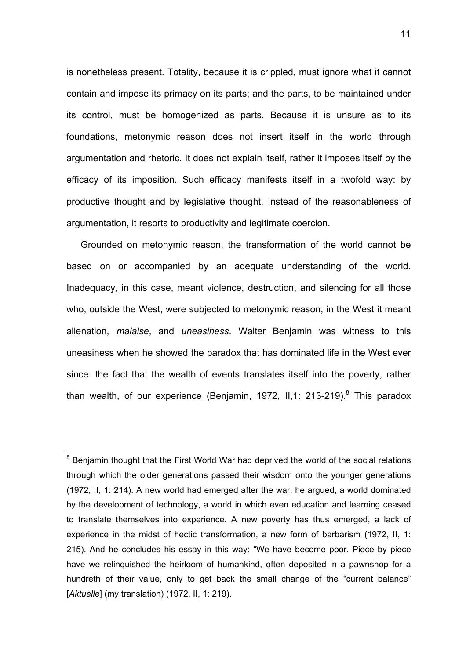is nonetheless present. Totality, because it is crippled, must ignore what it cannot contain and impose its primacy on its parts; and the parts, to be maintained under its control, must be homogenized as parts. Because it is unsure as to its foundations, metonymic reason does not insert itself in the world through argumentation and rhetoric. It does not explain itself, rather it imposes itself by the efficacy of its imposition. Such efficacy manifests itself in a twofold way: by productive thought and by legislative thought. Instead of the reasonableness of argumentation, it resorts to productivity and legitimate coercion.

Grounded on metonymic reason, the transformation of the world cannot be based on or accompanied by an adequate understanding of the world. Inadequacy, in this case, meant violence, destruction, and silencing for all those who, outside the West, were subjected to metonymic reason; in the West it meant alienation, *malaise*, and *uneasiness*. Walter Benjamin was witness to this uneasiness when he showed the paradox that has dominated life in the West ever since: the fact that the wealth of events translates itself into the poverty, rather than wealth, of our experience (Benjamin, 1972, II,1: 213-219).<sup>8</sup> This paradox

<sup>&</sup>lt;sup>8</sup> Benjamin thought that the First World War had deprived the world of the social relations through which the older generations passed their wisdom onto the younger generations (1972, II, 1: 214). A new world had emerged after the war, he argued, a world dominated by the development of technology, a world in which even education and learning ceased to translate themselves into experience. A new poverty has thus emerged, a lack of experience in the midst of hectic transformation, a new form of barbarism (1972, II, 1: 215). And he concludes his essay in this way: "We have become poor. Piece by piece have we relinquished the heirloom of humankind, often deposited in a pawnshop for a hundreth of their value, only to get back the small change of the "current balance" [*Aktuelle*] (my translation) (1972, II, 1: 219).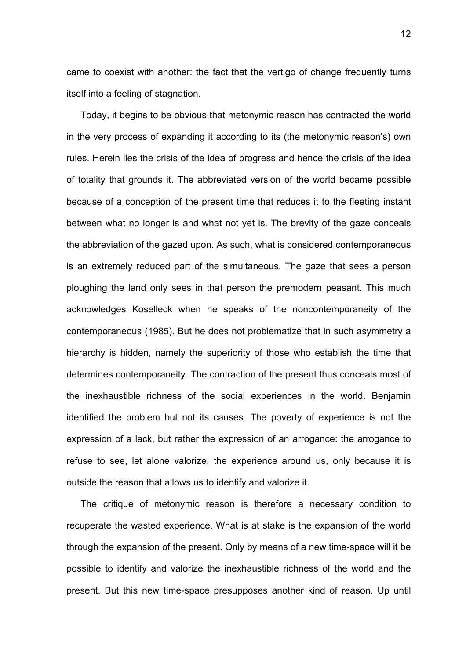came to coexist with another: the fact that the vertigo of change frequently turns itself into a feeling of stagnation.

Today, it begins to be obvious that metonymic reason has contracted the world in the very process of expanding it according to its (the metonymic reason's) own rules. Herein lies the crisis of the idea of progress and hence the crisis of the idea of totality that grounds it. The abbreviated version of the world became possible because of a conception of the present time that reduces it to the fleeting instant between what no longer is and what not yet is. The brevity of the gaze conceals the abbreviation of the gazed upon. As such, what is considered contemporaneous is an extremely reduced part of the simultaneous. The gaze that sees a person ploughing the land only sees in that person the premodern peasant. This much acknowledges Koselleck when he speaks of the noncontemporaneity of the contemporaneous (1985). But he does not problematize that in such asymmetry a hierarchy is hidden, namely the superiority of those who establish the time that determines contemporaneity. The contraction of the present thus conceals most of the inexhaustible richness of the social experiences in the world. Benjamin identified the problem but not its causes. The poverty of experience is not the expression of a lack, but rather the expression of an arrogance: the arrogance to refuse to see, let alone valorize, the experience around us, only because it is outside the reason that allows us to identify and valorize it.

The critique of metonymic reason is therefore a necessary condition to recuperate the wasted experience. What is at stake is the expansion of the world through the expansion of the present. Only by means of a new time-space will it be possible to identify and valorize the inexhaustible richness of the world and the present. But this new time-space presupposes another kind of reason. Up until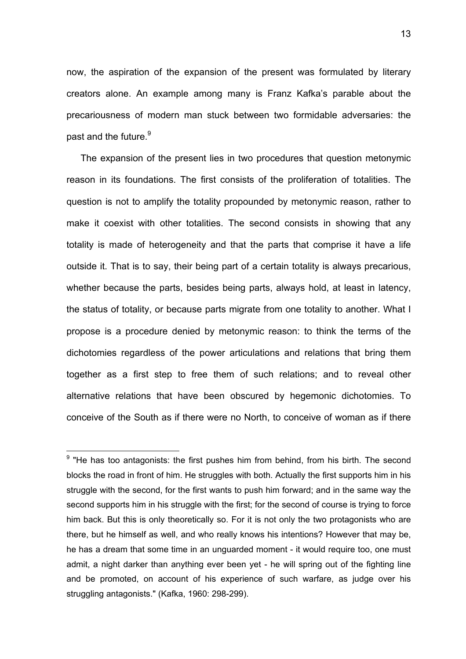now, the aspiration of the expansion of the present was formulated by literary creators alone. An example among many is Franz Kafka's parable about the precariousness of modern man stuck between two formidable adversaries: the past and the future.<sup>9</sup>

The expansion of the present lies in two procedures that question metonymic reason in its foundations. The first consists of the proliferation of totalities. The question is not to amplify the totality propounded by metonymic reason, rather to make it coexist with other totalities. The second consists in showing that any totality is made of heterogeneity and that the parts that comprise it have a life outside it. That is to say, their being part of a certain totality is always precarious, whether because the parts, besides being parts, always hold, at least in latency, the status of totality, or because parts migrate from one totality to another. What I propose is a procedure denied by metonymic reason: to think the terms of the dichotomies regardless of the power articulations and relations that bring them together as a first step to free them of such relations; and to reveal other alternative relations that have been obscured by hegemonic dichotomies. To conceive of the South as if there were no North, to conceive of woman as if there

 $9$  "He has too antagonists: the first pushes him from behind, from his birth. The second blocks the road in front of him. He struggles with both. Actually the first supports him in his struggle with the second, for the first wants to push him forward; and in the same way the second supports him in his struggle with the first; for the second of course is trying to force him back. But this is only theoretically so. For it is not only the two protagonists who are there, but he himself as well, and who really knows his intentions? However that may be, he has a dream that some time in an unguarded moment - it would require too, one must admit, a night darker than anything ever been yet - he will spring out of the fighting line and be promoted, on account of his experience of such warfare, as judge over his struggling antagonists." (Kafka, 1960: 298-299).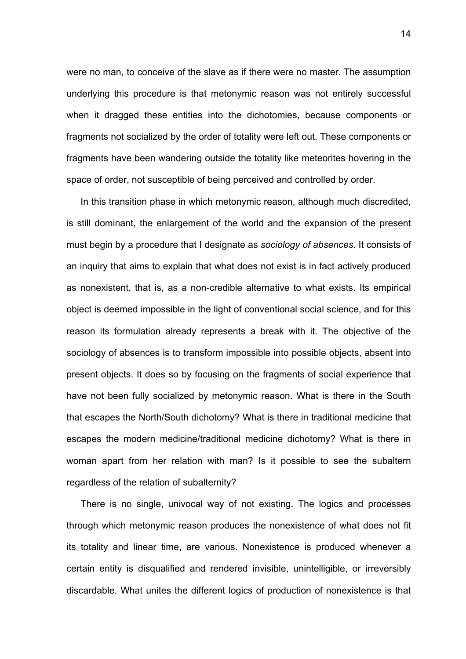were no man, to conceive of the slave as if there were no master. The assumption underlying this procedure is that metonymic reason was not entirely successful when it dragged these entities into the dichotomies, because components or fragments not socialized by the order of totality were left out. These components or fragments have been wandering outside the totality like meteorites hovering in the space of order, not susceptible of being perceived and controlled by order.

In this transition phase in which metonymic reason, although much discredited, is still dominant, the enlargement of the world and the expansion of the present must begin by a procedure that I designate as *sociology of absences*. It consists of an inquiry that aims to explain that what does not exist is in fact actively produced as nonexistent, that is, as a non-credible alternative to what exists. Its empirical object is deemed impossible in the light of conventional social science, and for this reason its formulation already represents a break with it. The objective of the sociology of absences is to transform impossible into possible objects, absent into present objects. It does so by focusing on the fragments of social experience that have not been fully socialized by metonymic reason. What is there in the South that escapes the North/South dichotomy? What is there in traditional medicine that escapes the modern medicine/traditional medicine dichotomy? What is there in woman apart from her relation with man? Is it possible to see the subaltern regardless of the relation of subalternity?

There is no single, univocal way of not existing. The logics and processes through which metonymic reason produces the nonexistence of what does not fit its totality and linear time, are various. Nonexistence is produced whenever a certain entity is disqualified and rendered invisible, unintelligible, or irreversibly discardable. What unites the different logics of production of nonexistence is that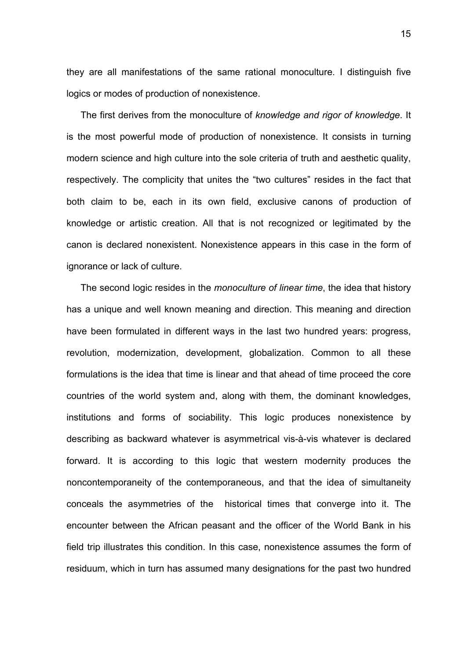they are all manifestations of the same rational monoculture. I distinguish five logics or modes of production of nonexistence.

The first derives from the monoculture of *knowledge and rigor of knowledge*. It is the most powerful mode of production of nonexistence. It consists in turning modern science and high culture into the sole criteria of truth and aesthetic quality, respectively. The complicity that unites the "two cultures" resides in the fact that both claim to be, each in its own field, exclusive canons of production of knowledge or artistic creation. All that is not recognized or legitimated by the canon is declared nonexistent. Nonexistence appears in this case in the form of ignorance or lack of culture.

The second logic resides in the *monoculture of linear time*, the idea that history has a unique and well known meaning and direction. This meaning and direction have been formulated in different ways in the last two hundred years: progress, revolution, modernization, development, globalization. Common to all these formulations is the idea that time is linear and that ahead of time proceed the core countries of the world system and, along with them, the dominant knowledges, institutions and forms of sociability. This logic produces nonexistence by describing as backward whatever is asymmetrical vis-à-vis whatever is declared forward. It is according to this logic that western modernity produces the noncontemporaneity of the contemporaneous, and that the idea of simultaneity conceals the asymmetries of the historical times that converge into it. The encounter between the African peasant and the officer of the World Bank in his field trip illustrates this condition. In this case, nonexistence assumes the form of residuum, which in turn has assumed many designations for the past two hundred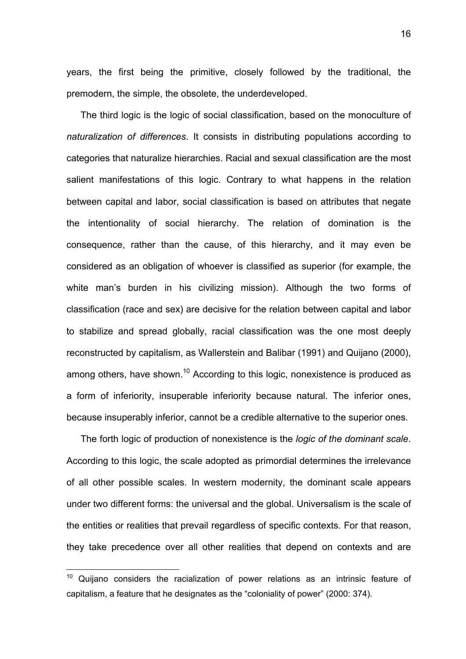years, the first being the primitive, closely followed by the traditional, the premodern, the simple, the obsolete, the underdeveloped.

The third logic is the logic of social classification, based on the monoculture of *naturalization of differences*. It consists in distributing populations according to categories that naturalize hierarchies. Racial and sexual classification are the most salient manifestations of this logic. Contrary to what happens in the relation between capital and labor, social classification is based on attributes that negate the intentionality of social hierarchy. The relation of domination is the consequence, rather than the cause, of this hierarchy, and it may even be considered as an obligation of whoever is classified as superior (for example, the white man's burden in his civilizing mission). Although the two forms of classification (race and sex) are decisive for the relation between capital and labor to stabilize and spread globally, racial classification was the one most deeply reconstructed by capitalism, as Wallerstein and Balibar (1991) and Quijano (2000), among others, have shown.<sup>10</sup> According to this logic, nonexistence is produced as a form of inferiority, insuperable inferiority because natural. The inferior ones, because insuperably inferior, cannot be a credible alternative to the superior ones.

The forth logic of production of nonexistence is the *logic of the dominant scale*. According to this logic, the scale adopted as primordial determines the irrelevance of all other possible scales. In western modernity, the dominant scale appears under two different forms: the universal and the global. Universalism is the scale of the entities or realities that prevail regardless of specific contexts. For that reason, they take precedence over all other realities that depend on contexts and are

<sup>10</sup> Quijano considers the racialization of power relations as an intrinsic feature of capitalism, a feature that he designates as the "coloniality of power" (2000: 374).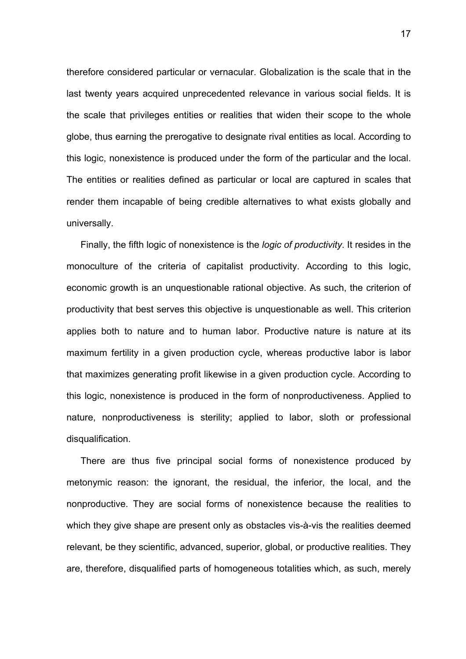therefore considered particular or vernacular. Globalization is the scale that in the last twenty years acquired unprecedented relevance in various social fields. It is the scale that privileges entities or realities that widen their scope to the whole globe, thus earning the prerogative to designate rival entities as local. According to this logic, nonexistence is produced under the form of the particular and the local. The entities or realities defined as particular or local are captured in scales that render them incapable of being credible alternatives to what exists globally and universally.

Finally, the fifth logic of nonexistence is the *logic of productivity*. It resides in the monoculture of the criteria of capitalist productivity. According to this logic, economic growth is an unquestionable rational objective. As such, the criterion of productivity that best serves this objective is unquestionable as well. This criterion applies both to nature and to human labor. Productive nature is nature at its maximum fertility in a given production cycle, whereas productive labor is labor that maximizes generating profit likewise in a given production cycle. According to this logic, nonexistence is produced in the form of nonproductiveness. Applied to nature, nonproductiveness is sterility; applied to labor, sloth or professional disqualification.

There are thus five principal social forms of nonexistence produced by metonymic reason: the ignorant, the residual, the inferior, the local, and the nonproductive. They are social forms of nonexistence because the realities to which they give shape are present only as obstacles vis-à-vis the realities deemed relevant, be they scientific, advanced, superior, global, or productive realities. They are, therefore, disqualified parts of homogeneous totalities which, as such, merely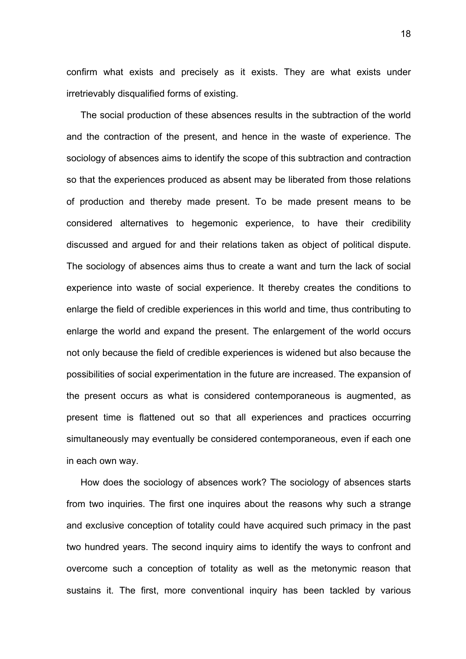confirm what exists and precisely as it exists. They are what exists under irretrievably disqualified forms of existing.

The social production of these absences results in the subtraction of the world and the contraction of the present, and hence in the waste of experience. The sociology of absences aims to identify the scope of this subtraction and contraction so that the experiences produced as absent may be liberated from those relations of production and thereby made present. To be made present means to be considered alternatives to hegemonic experience, to have their credibility discussed and argued for and their relations taken as object of political dispute. The sociology of absences aims thus to create a want and turn the lack of social experience into waste of social experience. It thereby creates the conditions to enlarge the field of credible experiences in this world and time, thus contributing to enlarge the world and expand the present. The enlargement of the world occurs not only because the field of credible experiences is widened but also because the possibilities of social experimentation in the future are increased. The expansion of the present occurs as what is considered contemporaneous is augmented, as present time is flattened out so that all experiences and practices occurring simultaneously may eventually be considered contemporaneous, even if each one in each own way.

How does the sociology of absences work? The sociology of absences starts from two inquiries. The first one inquires about the reasons why such a strange and exclusive conception of totality could have acquired such primacy in the past two hundred years. The second inquiry aims to identify the ways to confront and overcome such a conception of totality as well as the metonymic reason that sustains it. The first, more conventional inquiry has been tackled by various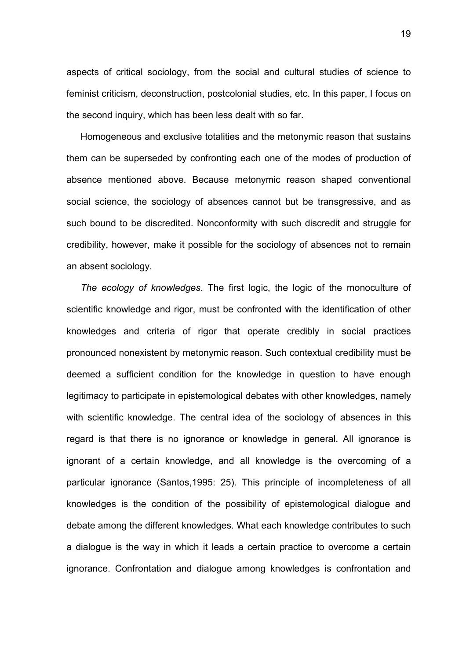aspects of critical sociology, from the social and cultural studies of science to feminist criticism, deconstruction, postcolonial studies, etc. In this paper, I focus on the second inquiry, which has been less dealt with so far.

Homogeneous and exclusive totalities and the metonymic reason that sustains them can be superseded by confronting each one of the modes of production of absence mentioned above. Because metonymic reason shaped conventional social science, the sociology of absences cannot but be transgressive, and as such bound to be discredited. Nonconformity with such discredit and struggle for credibility, however, make it possible for the sociology of absences not to remain an absent sociology.

*The ecology of knowledges*. The first logic, the logic of the monoculture of scientific knowledge and rigor, must be confronted with the identification of other knowledges and criteria of rigor that operate credibly in social practices pronounced nonexistent by metonymic reason. Such contextual credibility must be deemed a sufficient condition for the knowledge in question to have enough legitimacy to participate in epistemological debates with other knowledges, namely with scientific knowledge. The central idea of the sociology of absences in this regard is that there is no ignorance or knowledge in general. All ignorance is ignorant of a certain knowledge, and all knowledge is the overcoming of a particular ignorance (Santos,1995: 25). This principle of incompleteness of all knowledges is the condition of the possibility of epistemological dialogue and debate among the different knowledges. What each knowledge contributes to such a dialogue is the way in which it leads a certain practice to overcome a certain ignorance. Confrontation and dialogue among knowledges is confrontation and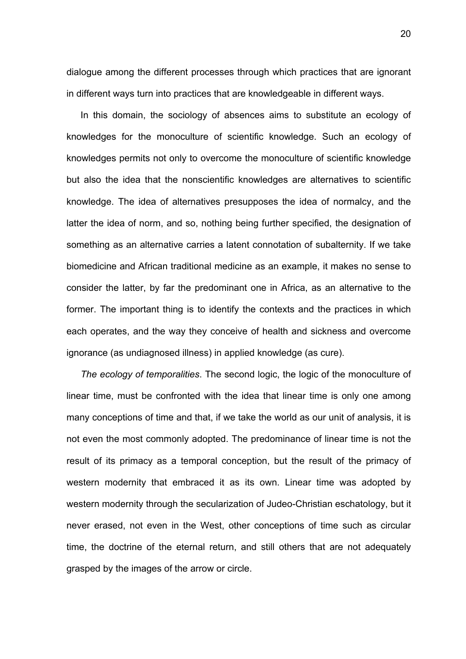dialogue among the different processes through which practices that are ignorant in different ways turn into practices that are knowledgeable in different ways.

In this domain, the sociology of absences aims to substitute an ecology of knowledges for the monoculture of scientific knowledge. Such an ecology of knowledges permits not only to overcome the monoculture of scientific knowledge but also the idea that the nonscientific knowledges are alternatives to scientific knowledge. The idea of alternatives presupposes the idea of normalcy, and the latter the idea of norm, and so, nothing being further specified, the designation of something as an alternative carries a latent connotation of subalternity. If we take biomedicine and African traditional medicine as an example, it makes no sense to consider the latter, by far the predominant one in Africa, as an alternative to the former. The important thing is to identify the contexts and the practices in which each operates, and the way they conceive of health and sickness and overcome ignorance (as undiagnosed illness) in applied knowledge (as cure).

*The ecology of temporalities*. The second logic, the logic of the monoculture of linear time, must be confronted with the idea that linear time is only one among many conceptions of time and that, if we take the world as our unit of analysis, it is not even the most commonly adopted. The predominance of linear time is not the result of its primacy as a temporal conception, but the result of the primacy of western modernity that embraced it as its own. Linear time was adopted by western modernity through the secularization of Judeo-Christian eschatology, but it never erased, not even in the West, other conceptions of time such as circular time, the doctrine of the eternal return, and still others that are not adequately grasped by the images of the arrow or circle.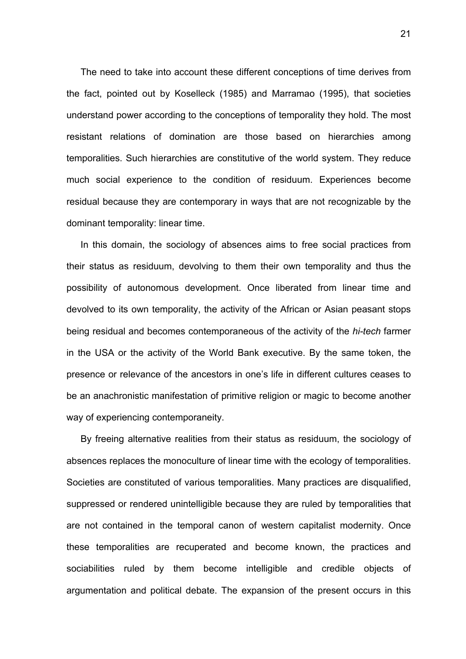The need to take into account these different conceptions of time derives from the fact, pointed out by Koselleck (1985) and Marramao (1995), that societies understand power according to the conceptions of temporality they hold. The most resistant relations of domination are those based on hierarchies among temporalities. Such hierarchies are constitutive of the world system. They reduce much social experience to the condition of residuum. Experiences become residual because they are contemporary in ways that are not recognizable by the dominant temporality: linear time.

In this domain, the sociology of absences aims to free social practices from their status as residuum, devolving to them their own temporality and thus the possibility of autonomous development. Once liberated from linear time and devolved to its own temporality, the activity of the African or Asian peasant stops being residual and becomes contemporaneous of the activity of the *hi-tech* farmer in the USA or the activity of the World Bank executive. By the same token, the presence or relevance of the ancestors in one's life in different cultures ceases to be an anachronistic manifestation of primitive religion or magic to become another way of experiencing contemporaneity.

By freeing alternative realities from their status as residuum, the sociology of absences replaces the monoculture of linear time with the ecology of temporalities. Societies are constituted of various temporalities. Many practices are disqualified, suppressed or rendered unintelligible because they are ruled by temporalities that are not contained in the temporal canon of western capitalist modernity. Once these temporalities are recuperated and become known, the practices and sociabilities ruled by them become intelligible and credible objects of argumentation and political debate. The expansion of the present occurs in this

21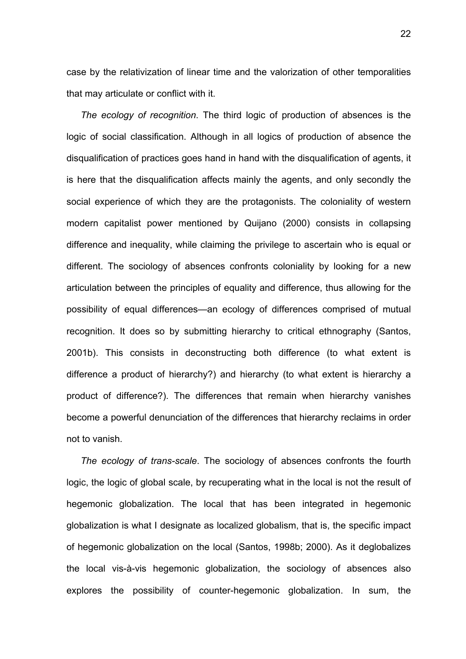case by the relativization of linear time and the valorization of other temporalities that may articulate or conflict with it.

*The ecology of recognition*. The third logic of production of absences is the logic of social classification. Although in all logics of production of absence the disqualification of practices goes hand in hand with the disqualification of agents, it is here that the disqualification affects mainly the agents, and only secondly the social experience of which they are the protagonists. The coloniality of western modern capitalist power mentioned by Quijano (2000) consists in collapsing difference and inequality, while claiming the privilege to ascertain who is equal or different. The sociology of absences confronts coloniality by looking for a new articulation between the principles of equality and difference, thus allowing for the possibility of equal differences—an ecology of differences comprised of mutual recognition. It does so by submitting hierarchy to critical ethnography (Santos, 2001b). This consists in deconstructing both difference (to what extent is difference a product of hierarchy?) and hierarchy (to what extent is hierarchy a product of difference?). The differences that remain when hierarchy vanishes become a powerful denunciation of the differences that hierarchy reclaims in order not to vanish.

*The ecology of trans-scale*. The sociology of absences confronts the fourth logic, the logic of global scale, by recuperating what in the local is not the result of hegemonic globalization. The local that has been integrated in hegemonic globalization is what I designate as localized globalism, that is, the specific impact of hegemonic globalization on the local (Santos, 1998b; 2000). As it deglobalizes the local vis-à-vis hegemonic globalization, the sociology of absences also explores the possibility of counter-hegemonic globalization. In sum, the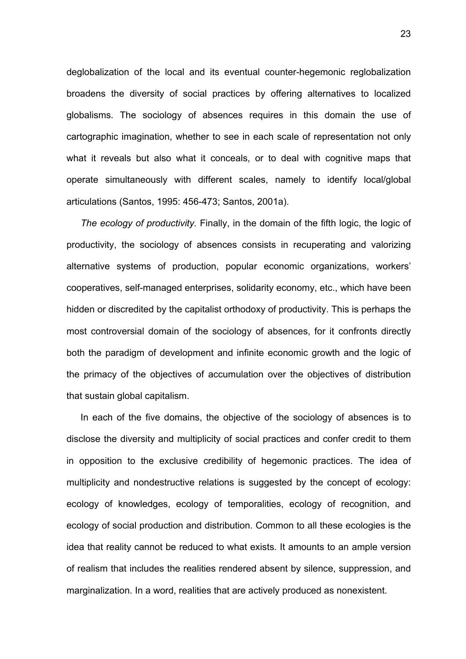deglobalization of the local and its eventual counter-hegemonic reglobalization broadens the diversity of social practices by offering alternatives to localized globalisms. The sociology of absences requires in this domain the use of cartographic imagination, whether to see in each scale of representation not only what it reveals but also what it conceals, or to deal with cognitive maps that operate simultaneously with different scales, namely to identify local/global articulations (Santos, 1995: 456-473; Santos, 2001a).

*The ecology of productivity.* Finally, in the domain of the fifth logic, the logic of productivity, the sociology of absences consists in recuperating and valorizing alternative systems of production, popular economic organizations, workers' cooperatives, self-managed enterprises, solidarity economy, etc., which have been hidden or discredited by the capitalist orthodoxy of productivity. This is perhaps the most controversial domain of the sociology of absences, for it confronts directly both the paradigm of development and infinite economic growth and the logic of the primacy of the objectives of accumulation over the objectives of distribution that sustain global capitalism.

In each of the five domains, the objective of the sociology of absences is to disclose the diversity and multiplicity of social practices and confer credit to them in opposition to the exclusive credibility of hegemonic practices. The idea of multiplicity and nondestructive relations is suggested by the concept of ecology: ecology of knowledges, ecology of temporalities, ecology of recognition, and ecology of social production and distribution. Common to all these ecologies is the idea that reality cannot be reduced to what exists. It amounts to an ample version of realism that includes the realities rendered absent by silence, suppression, and marginalization. In a word, realities that are actively produced as nonexistent.

23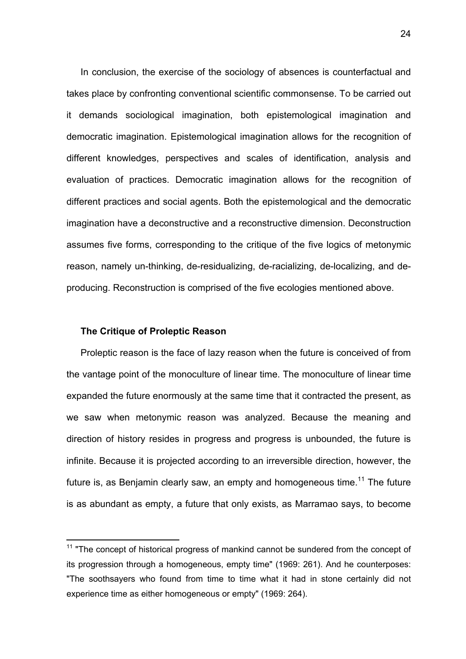In conclusion, the exercise of the sociology of absences is counterfactual and takes place by confronting conventional scientific commonsense. To be carried out it demands sociological imagination, both epistemological imagination and democratic imagination. Epistemological imagination allows for the recognition of different knowledges, perspectives and scales of identification, analysis and evaluation of practices. Democratic imagination allows for the recognition of different practices and social agents. Both the epistemological and the democratic imagination have a deconstructive and a reconstructive dimension. Deconstruction assumes five forms, corresponding to the critique of the five logics of metonymic reason, namely un-thinking, de-residualizing, de-racializing, de-localizing, and deproducing. Reconstruction is comprised of the five ecologies mentioned above.

## **The Critique of Proleptic Reason**

 $\overline{a}$ 

Proleptic reason is the face of lazy reason when the future is conceived of from the vantage point of the monoculture of linear time. The monoculture of linear time expanded the future enormously at the same time that it contracted the present, as we saw when metonymic reason was analyzed. Because the meaning and direction of history resides in progress and progress is unbounded, the future is infinite. Because it is projected according to an irreversible direction, however, the future is, as Benjamin clearly saw, an empty and homogeneous time.<sup>11</sup> The future is as abundant as empty, a future that only exists, as Marramao says, to become

 $11$  "The concept of historical progress of mankind cannot be sundered from the concept of its progression through a homogeneous, empty time" (1969: 261). And he counterposes: "The soothsayers who found from time to time what it had in stone certainly did not experience time as either homogeneous or empty" (1969: 264).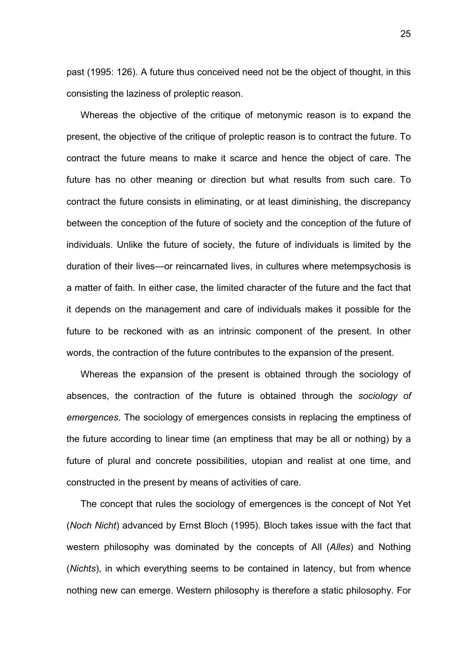past (1995: 126). A future thus conceived need not be the object of thought, in this consisting the laziness of proleptic reason.

Whereas the objective of the critique of metonymic reason is to expand the present, the objective of the critique of proleptic reason is to contract the future. To contract the future means to make it scarce and hence the object of care. The future has no other meaning or direction but what results from such care. To contract the future consists in eliminating, or at least diminishing, the discrepancy between the conception of the future of society and the conception of the future of individuals. Unlike the future of society, the future of individuals is limited by the duration of their lives—or reincarnated lives, in cultures where metempsychosis is a matter of faith. In either case, the limited character of the future and the fact that it depends on the management and care of individuals makes it possible for the future to be reckoned with as an intrinsic component of the present. In other words, the contraction of the future contributes to the expansion of the present.

Whereas the expansion of the present is obtained through the sociology of absences, the contraction of the future is obtained through the *sociology of emergences*. The sociology of emergences consists in replacing the emptiness of the future according to linear time (an emptiness that may be all or nothing) by a future of plural and concrete possibilities, utopian and realist at one time, and constructed in the present by means of activities of care.

The concept that rules the sociology of emergences is the concept of Not Yet (*Noch Nicht*) advanced by Ernst Bloch (1995). Bloch takes issue with the fact that western philosophy was dominated by the concepts of All (*Alles*) and Nothing (*Nichts*), in which everything seems to be contained in latency, but from whence nothing new can emerge. Western philosophy is therefore a static philosophy. For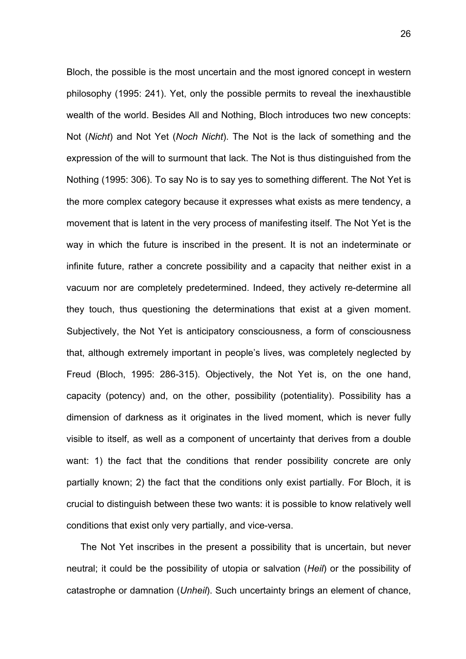Bloch, the possible is the most uncertain and the most ignored concept in western philosophy (1995: 241). Yet, only the possible permits to reveal the inexhaustible wealth of the world. Besides All and Nothing, Bloch introduces two new concepts: Not (*Nicht*) and Not Yet (*Noch Nicht*). The Not is the lack of something and the expression of the will to surmount that lack. The Not is thus distinguished from the Nothing (1995: 306). To say No is to say yes to something different. The Not Yet is the more complex category because it expresses what exists as mere tendency, a movement that is latent in the very process of manifesting itself. The Not Yet is the way in which the future is inscribed in the present. It is not an indeterminate or infinite future, rather a concrete possibility and a capacity that neither exist in a vacuum nor are completely predetermined. Indeed, they actively re-determine all they touch, thus questioning the determinations that exist at a given moment. Subjectively, the Not Yet is anticipatory consciousness, a form of consciousness that, although extremely important in people's lives, was completely neglected by Freud (Bloch, 1995: 286-315). Objectively, the Not Yet is, on the one hand, capacity (potency) and, on the other, possibility (potentiality). Possibility has a dimension of darkness as it originates in the lived moment, which is never fully visible to itself, as well as a component of uncertainty that derives from a double want: 1) the fact that the conditions that render possibility concrete are only partially known; 2) the fact that the conditions only exist partially. For Bloch, it is crucial to distinguish between these two wants: it is possible to know relatively well conditions that exist only very partially, and vice-versa.

The Not Yet inscribes in the present a possibility that is uncertain, but never neutral; it could be the possibility of utopia or salvation (*Heil*) or the possibility of catastrophe or damnation (*Unheil*). Such uncertainty brings an element of chance,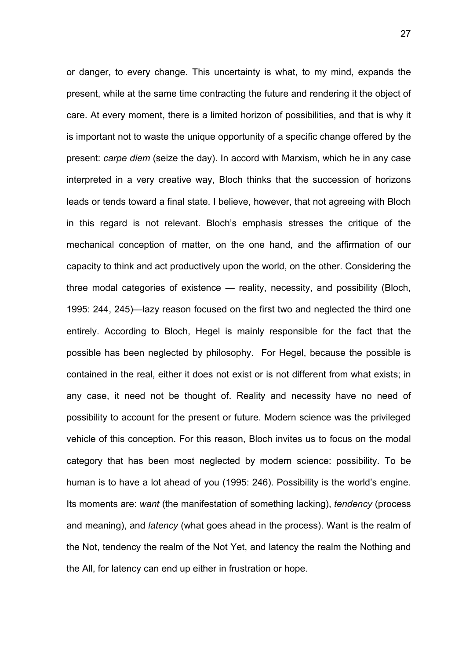or danger, to every change. This uncertainty is what, to my mind, expands the present, while at the same time contracting the future and rendering it the object of care. At every moment, there is a limited horizon of possibilities, and that is why it is important not to waste the unique opportunity of a specific change offered by the present: *carpe diem* (seize the day). In accord with Marxism, which he in any case interpreted in a very creative way, Bloch thinks that the succession of horizons leads or tends toward a final state. I believe, however, that not agreeing with Bloch in this regard is not relevant. Bloch's emphasis stresses the critique of the mechanical conception of matter, on the one hand, and the affirmation of our capacity to think and act productively upon the world, on the other. Considering the three modal categories of existence — reality, necessity, and possibility (Bloch, 1995: 244, 245)—lazy reason focused on the first two and neglected the third one entirely. According to Bloch, Hegel is mainly responsible for the fact that the possible has been neglected by philosophy. For Hegel, because the possible is contained in the real, either it does not exist or is not different from what exists; in any case, it need not be thought of. Reality and necessity have no need of possibility to account for the present or future. Modern science was the privileged vehicle of this conception. For this reason, Bloch invites us to focus on the modal category that has been most neglected by modern science: possibility. To be human is to have a lot ahead of you (1995: 246). Possibility is the world's engine. Its moments are: *want* (the manifestation of something lacking), *tendency* (process and meaning), and *latency* (what goes ahead in the process). Want is the realm of the Not, tendency the realm of the Not Yet, and latency the realm the Nothing and the All, for latency can end up either in frustration or hope.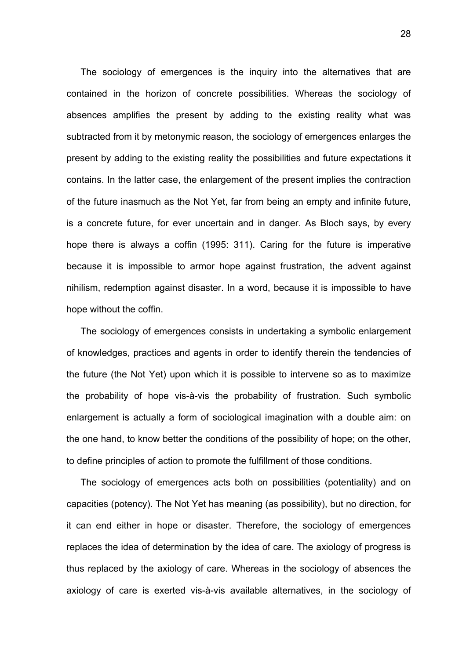The sociology of emergences is the inquiry into the alternatives that are contained in the horizon of concrete possibilities. Whereas the sociology of absences amplifies the present by adding to the existing reality what was subtracted from it by metonymic reason, the sociology of emergences enlarges the present by adding to the existing reality the possibilities and future expectations it contains. In the latter case, the enlargement of the present implies the contraction of the future inasmuch as the Not Yet, far from being an empty and infinite future, is a concrete future, for ever uncertain and in danger. As Bloch says, by every hope there is always a coffin (1995: 311). Caring for the future is imperative because it is impossible to armor hope against frustration, the advent against nihilism, redemption against disaster. In a word, because it is impossible to have hope without the coffin.

The sociology of emergences consists in undertaking a symbolic enlargement of knowledges, practices and agents in order to identify therein the tendencies of the future (the Not Yet) upon which it is possible to intervene so as to maximize the probability of hope vis-à-vis the probability of frustration. Such symbolic enlargement is actually a form of sociological imagination with a double aim: on the one hand, to know better the conditions of the possibility of hope; on the other, to define principles of action to promote the fulfillment of those conditions.

The sociology of emergences acts both on possibilities (potentiality) and on capacities (potency). The Not Yet has meaning (as possibility), but no direction, for it can end either in hope or disaster. Therefore, the sociology of emergences replaces the idea of determination by the idea of care. The axiology of progress is thus replaced by the axiology of care. Whereas in the sociology of absences the axiology of care is exerted vis-à-vis available alternatives, in the sociology of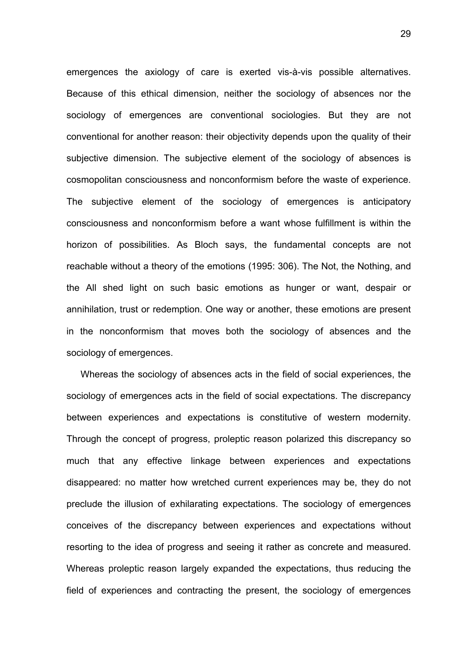emergences the axiology of care is exerted vis-à-vis possible alternatives. Because of this ethical dimension, neither the sociology of absences nor the sociology of emergences are conventional sociologies. But they are not conventional for another reason: their objectivity depends upon the quality of their subjective dimension. The subjective element of the sociology of absences is cosmopolitan consciousness and nonconformism before the waste of experience. The subjective element of the sociology of emergences is anticipatory consciousness and nonconformism before a want whose fulfillment is within the horizon of possibilities. As Bloch says, the fundamental concepts are not reachable without a theory of the emotions (1995: 306). The Not, the Nothing, and the All shed light on such basic emotions as hunger or want, despair or annihilation, trust or redemption. One way or another, these emotions are present in the nonconformism that moves both the sociology of absences and the sociology of emergences.

Whereas the sociology of absences acts in the field of social experiences, the sociology of emergences acts in the field of social expectations. The discrepancy between experiences and expectations is constitutive of western modernity. Through the concept of progress, proleptic reason polarized this discrepancy so much that any effective linkage between experiences and expectations disappeared: no matter how wretched current experiences may be, they do not preclude the illusion of exhilarating expectations. The sociology of emergences conceives of the discrepancy between experiences and expectations without resorting to the idea of progress and seeing it rather as concrete and measured. Whereas proleptic reason largely expanded the expectations, thus reducing the field of experiences and contracting the present, the sociology of emergences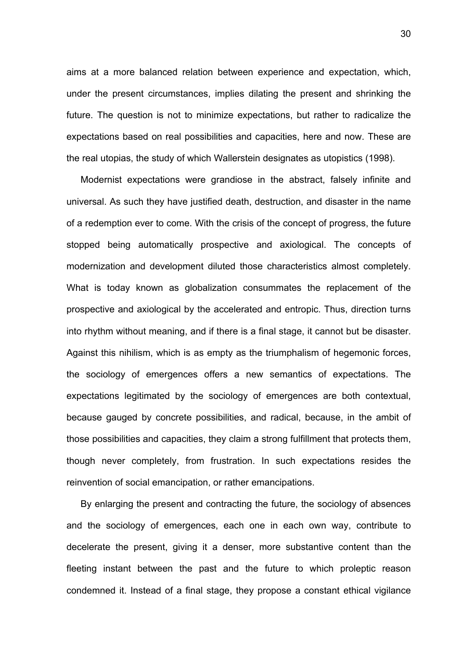aims at a more balanced relation between experience and expectation, which, under the present circumstances, implies dilating the present and shrinking the future. The question is not to minimize expectations, but rather to radicalize the expectations based on real possibilities and capacities, here and now. These are the real utopias, the study of which Wallerstein designates as utopistics (1998).

Modernist expectations were grandiose in the abstract, falsely infinite and universal. As such they have justified death, destruction, and disaster in the name of a redemption ever to come. With the crisis of the concept of progress, the future stopped being automatically prospective and axiological. The concepts of modernization and development diluted those characteristics almost completely. What is today known as globalization consummates the replacement of the prospective and axiological by the accelerated and entropic. Thus, direction turns into rhythm without meaning, and if there is a final stage, it cannot but be disaster. Against this nihilism, which is as empty as the triumphalism of hegemonic forces, the sociology of emergences offers a new semantics of expectations. The expectations legitimated by the sociology of emergences are both contextual, because gauged by concrete possibilities, and radical, because, in the ambit of those possibilities and capacities, they claim a strong fulfillment that protects them, though never completely, from frustration. In such expectations resides the reinvention of social emancipation, or rather emancipations.

By enlarging the present and contracting the future, the sociology of absences and the sociology of emergences, each one in each own way, contribute to decelerate the present, giving it a denser, more substantive content than the fleeting instant between the past and the future to which proleptic reason condemned it. Instead of a final stage, they propose a constant ethical vigilance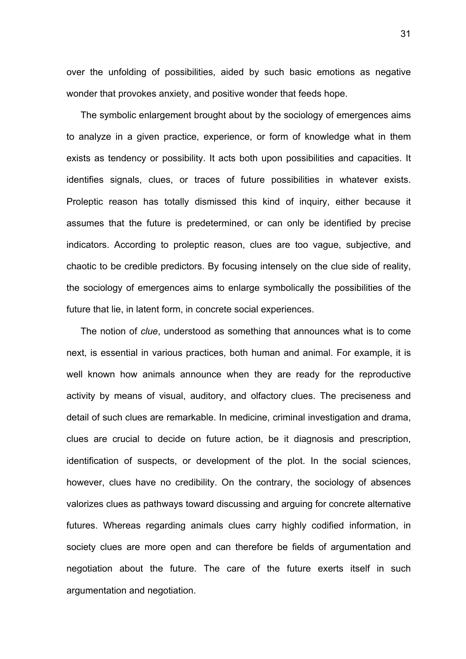over the unfolding of possibilities, aided by such basic emotions as negative wonder that provokes anxiety, and positive wonder that feeds hope.

The symbolic enlargement brought about by the sociology of emergences aims to analyze in a given practice, experience, or form of knowledge what in them exists as tendency or possibility. It acts both upon possibilities and capacities. It identifies signals, clues, or traces of future possibilities in whatever exists. Proleptic reason has totally dismissed this kind of inquiry, either because it assumes that the future is predetermined, or can only be identified by precise indicators. According to proleptic reason, clues are too vague, subjective, and chaotic to be credible predictors. By focusing intensely on the clue side of reality, the sociology of emergences aims to enlarge symbolically the possibilities of the future that lie, in latent form, in concrete social experiences.

The notion of *clue*, understood as something that announces what is to come next, is essential in various practices, both human and animal. For example, it is well known how animals announce when they are ready for the reproductive activity by means of visual, auditory, and olfactory clues. The preciseness and detail of such clues are remarkable. In medicine, criminal investigation and drama, clues are crucial to decide on future action, be it diagnosis and prescription, identification of suspects, or development of the plot. In the social sciences, however, clues have no credibility. On the contrary, the sociology of absences valorizes clues as pathways toward discussing and arguing for concrete alternative futures. Whereas regarding animals clues carry highly codified information, in society clues are more open and can therefore be fields of argumentation and negotiation about the future. The care of the future exerts itself in such argumentation and negotiation.

31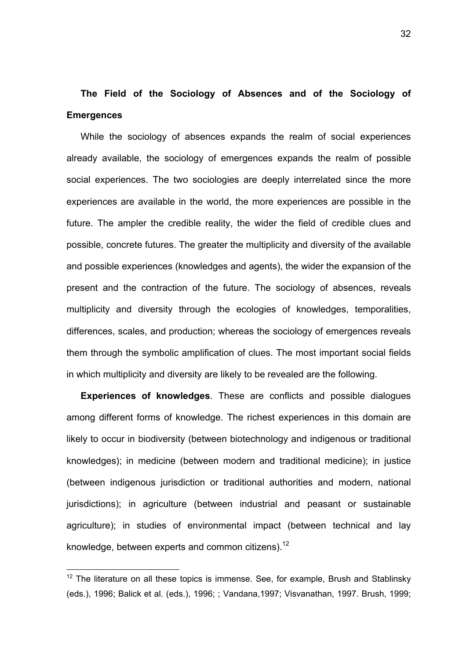# **The Field of the Sociology of Absences and of the Sociology of Emergences**

While the sociology of absences expands the realm of social experiences already available, the sociology of emergences expands the realm of possible social experiences. The two sociologies are deeply interrelated since the more experiences are available in the world, the more experiences are possible in the future. The ampler the credible reality, the wider the field of credible clues and possible, concrete futures. The greater the multiplicity and diversity of the available and possible experiences (knowledges and agents), the wider the expansion of the present and the contraction of the future. The sociology of absences, reveals multiplicity and diversity through the ecologies of knowledges, temporalities, differences, scales, and production; whereas the sociology of emergences reveals them through the symbolic amplification of clues. The most important social fields in which multiplicity and diversity are likely to be revealed are the following.

**Experiences of knowledges**. These are conflicts and possible dialogues among different forms of knowledge. The richest experiences in this domain are likely to occur in biodiversity (between biotechnology and indigenous or traditional knowledges); in medicine (between modern and traditional medicine); in justice (between indigenous jurisdiction or traditional authorities and modern, national jurisdictions); in agriculture (between industrial and peasant or sustainable agriculture); in studies of environmental impact (between technical and lay knowledge, between experts and common citizens).  $12$ 

 $12$  The literature on all these topics is immense. See, for example, Brush and Stablinsky (eds.), 1996; Balick et al. (eds.), 1996; ; Vandana,1997; Visvanathan, 1997. Brush, 1999;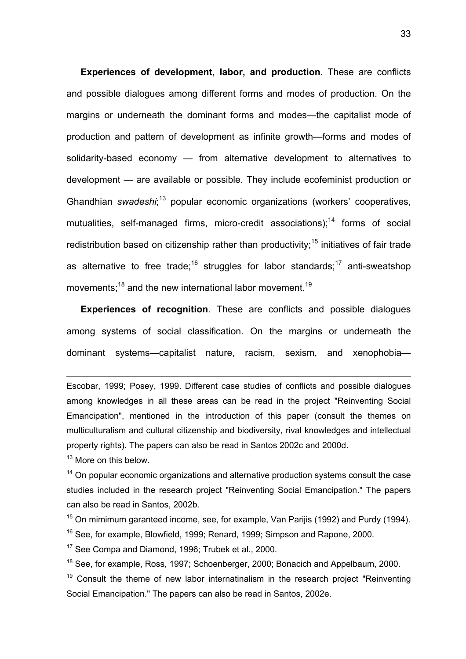**Experiences of development, labor, and production**. These are conflicts and possible dialogues among different forms and modes of production. On the margins or underneath the dominant forms and modes—the capitalist mode of production and pattern of development as infinite growth—forms and modes of solidarity-based economy — from alternative development to alternatives to development — are available or possible. They include ecofeminist production or Ghandhian *swadeshi*; 13 popular economic organizations (workers' cooperatives, mutualities, self-managed firms, micro-credit associations);<sup>14</sup> forms of social redistribution based on citizenship rather than productivity;<sup>15</sup> initiatives of fair trade as alternative to free trade;<sup>16</sup> struggles for labor standards;<sup>17</sup> anti-sweatshop movements;<sup>18</sup> and the new international labor movement.<sup>19</sup>

**Experiences of recognition**. These are conflicts and possible dialogues among systems of social classification. On the margins or underneath the dominant systems—capitalist nature, racism, sexism, and xenophobia—

Escobar, 1999; Posey, 1999. Different case studies of conflicts and possible dialogues among knowledges in all these areas can be read in the project "Reinventing Social Emancipation", mentioned in the introduction of this paper (consult the themes on multiculturalism and cultural citizenship and biodiversity, rival knowledges and intellectual property rights). The papers can also be read in Santos 2002c and 2000d.

<sup>13</sup> More on this below.

 $\overline{a}$ 

 $14$  On popular economic organizations and alternative production systems consult the case studies included in the research project "Reinventing Social Emancipation." The papers can also be read in Santos, 2002b.

 $15$  On mimimum garanteed income, see, for example, Van Parijis (1992) and Purdy (1994).

<sup>16</sup> See, for example, Blowfield, 1999; Renard, 1999; Simpson and Rapone, 2000.

<sup>17</sup> See Compa and Diamond, 1996; Trubek et al., 2000.

<sup>18</sup> See, for example, Ross, 1997; Schoenberger, 2000; Bonacich and Appelbaum, 2000.

 $19$  Consult the theme of new labor internatinalism in the research project "Reinventing" Social Emancipation." The papers can also be read in Santos, 2002e.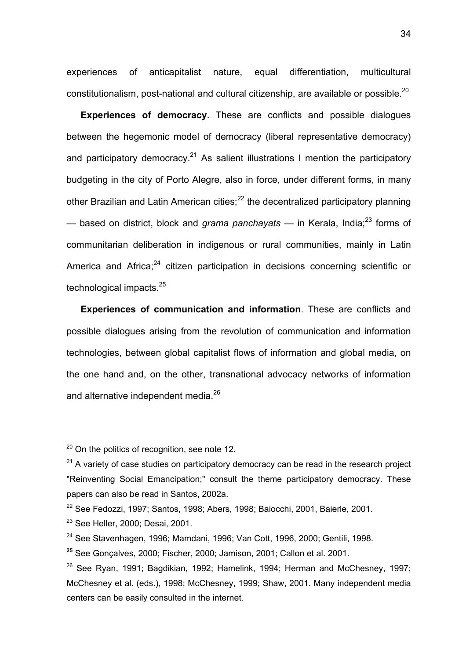experiences of anticapitalist nature, equal differentiation, multicultural constitutionalism, post-national and cultural citizenship, are available or possible.<sup>20</sup>

**Experiences of democracy**. These are conflicts and possible dialogues between the hegemonic model of democracy (liberal representative democracy) and participatory democracy.<sup>21</sup> As salient illustrations I mention the participatory budgeting in the city of Porto Alegre, also in force, under different forms, in many other Brazilian and Latin American cities; $^{22}$  the decentralized participatory planning — based on district, block and *grama panchayats* — in Kerala, India;<sup>23</sup> forms of communitarian deliberation in indigenous or rural communities, mainly in Latin America and Africa; $24$  citizen participation in decisions concerning scientific or technological impacts.<sup>25</sup>

**Experiences of communication and information**. These are conflicts and possible dialogues arising from the revolution of communication and information technologies, between global capitalist flows of information and global media, on the one hand and, on the other, transnational advocacy networks of information and alternative independent media.<sup>26</sup>

 $20$  On the politics of recognition, see note 12.

 $21$  A variety of case studies on participatory democracy can be read in the research project "Reinventing Social Emancipation;" consult the theme participatory democracy. These papers can also be read in Santos, 2002a.

 $^{22}$  See Fedozzi, 1997; Santos, 1998; Abers, 1998; Baiocchi, 2001, Baierle, 2001.

<sup>23</sup> See Heller, 2000; Desai, 2001.

 $24$  See Stavenhagen, 1996; Mamdani, 1996; Van Cott, 1996, 2000; Gentili, 1998.

**<sup>25</sup>** See Gonçalves, 2000; Fischer, 2000; Jamison, 2001; Callon et al. 2001.

 $26$  See Ryan, 1991; Bagdikian, 1992; Hamelink, 1994; Herman and McChesney, 1997; McChesney et al. (eds.), 1998; McChesney, 1999; Shaw, 2001. Many independent media centers can be easily consulted in the internet.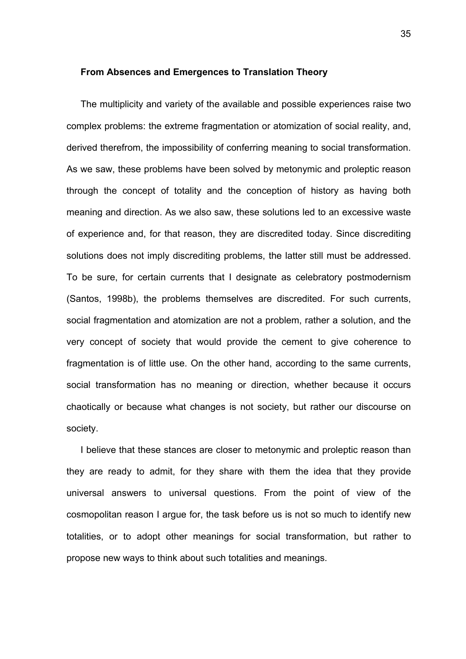#### **From Absences and Emergences to Translation Theory**

The multiplicity and variety of the available and possible experiences raise two complex problems: the extreme fragmentation or atomization of social reality, and, derived therefrom, the impossibility of conferring meaning to social transformation. As we saw, these problems have been solved by metonymic and proleptic reason through the concept of totality and the conception of history as having both meaning and direction. As we also saw, these solutions led to an excessive waste of experience and, for that reason, they are discredited today. Since discrediting solutions does not imply discrediting problems, the latter still must be addressed. To be sure, for certain currents that I designate as celebratory postmodernism (Santos, 1998b), the problems themselves are discredited. For such currents, social fragmentation and atomization are not a problem, rather a solution, and the very concept of society that would provide the cement to give coherence to fragmentation is of little use. On the other hand, according to the same currents, social transformation has no meaning or direction, whether because it occurs chaotically or because what changes is not society, but rather our discourse on society.

I believe that these stances are closer to metonymic and proleptic reason than they are ready to admit, for they share with them the idea that they provide universal answers to universal questions. From the point of view of the cosmopolitan reason I argue for, the task before us is not so much to identify new totalities, or to adopt other meanings for social transformation, but rather to propose new ways to think about such totalities and meanings.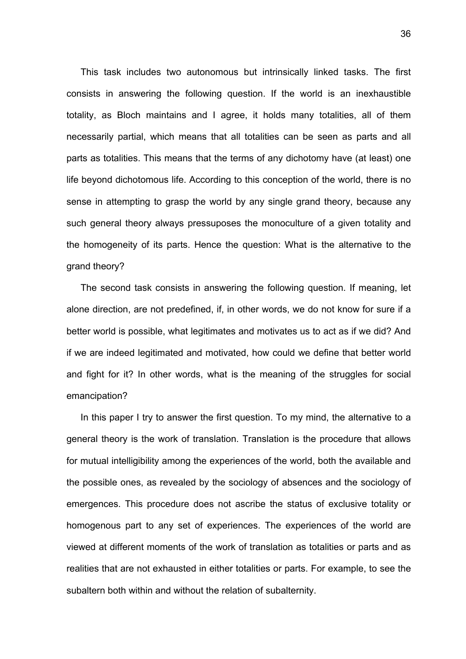This task includes two autonomous but intrinsically linked tasks. The first consists in answering the following question. If the world is an inexhaustible totality, as Bloch maintains and I agree, it holds many totalities, all of them necessarily partial, which means that all totalities can be seen as parts and all parts as totalities. This means that the terms of any dichotomy have (at least) one life beyond dichotomous life. According to this conception of the world, there is no sense in attempting to grasp the world by any single grand theory, because any such general theory always pressuposes the monoculture of a given totality and the homogeneity of its parts. Hence the question: What is the alternative to the grand theory?

The second task consists in answering the following question. If meaning, let alone direction, are not predefined, if, in other words, we do not know for sure if a better world is possible, what legitimates and motivates us to act as if we did? And if we are indeed legitimated and motivated, how could we define that better world and fight for it? In other words, what is the meaning of the struggles for social emancipation?

In this paper I try to answer the first question. To my mind, the alternative to a general theory is the work of translation. Translation is the procedure that allows for mutual intelligibility among the experiences of the world, both the available and the possible ones, as revealed by the sociology of absences and the sociology of emergences. This procedure does not ascribe the status of exclusive totality or homogenous part to any set of experiences. The experiences of the world are viewed at different moments of the work of translation as totalities or parts and as realities that are not exhausted in either totalities or parts. For example, to see the subaltern both within and without the relation of subalternity.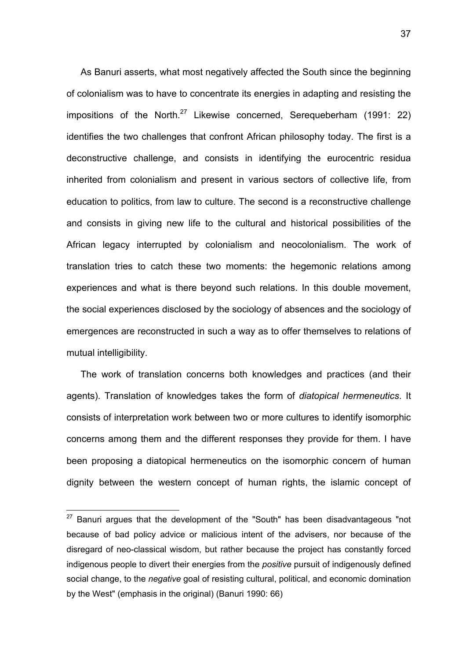As Banuri asserts, what most negatively affected the South since the beginning of colonialism was to have to concentrate its energies in adapting and resisting the impositions of the North. $27$  Likewise concerned, Serequeberham (1991: 22) identifies the two challenges that confront African philosophy today. The first is a deconstructive challenge, and consists in identifying the eurocentric residua inherited from colonialism and present in various sectors of collective life, from education to politics, from law to culture. The second is a reconstructive challenge and consists in giving new life to the cultural and historical possibilities of the African legacy interrupted by colonialism and neocolonialism. The work of translation tries to catch these two moments: the hegemonic relations among experiences and what is there beyond such relations. In this double movement, the social experiences disclosed by the sociology of absences and the sociology of emergences are reconstructed in such a way as to offer themselves to relations of mutual intelligibility.

The work of translation concerns both knowledges and practices (and their agents). Translation of knowledges takes the form of *diatopical hermeneutics*. It consists of interpretation work between two or more cultures to identify isomorphic concerns among them and the different responses they provide for them. I have been proposing a diatopical hermeneutics on the isomorphic concern of human dignity between the western concept of human rights, the islamic concept of

 $27$  Banuri argues that the development of the "South" has been disadvantageous "not because of bad policy advice or malicious intent of the advisers, nor because of the disregard of neo-classical wisdom, but rather because the project has constantly forced indigenous people to divert their energies from the *positive* pursuit of indigenously defined social change, to the *negative* goal of resisting cultural, political, and economic domination by the West" (emphasis in the original) (Banuri 1990: 66)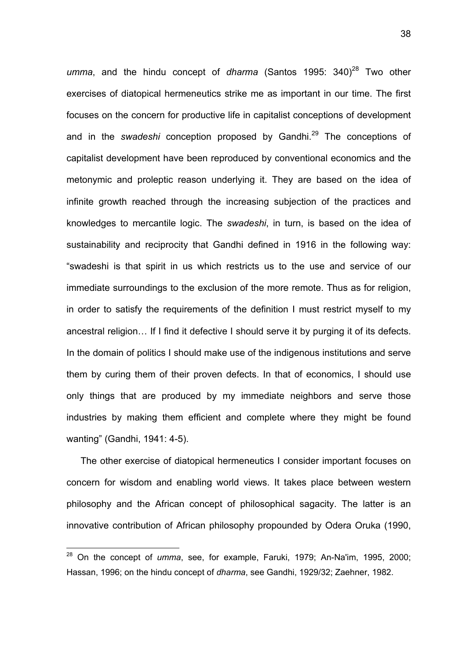*umma*, and the hindu concept of *dharma* (Santos 1995: 340)<sup>28</sup> Two other exercises of diatopical hermeneutics strike me as important in our time. The first focuses on the concern for productive life in capitalist conceptions of development and in the *swadeshi* conception proposed by Gandhi.<sup>29</sup> The conceptions of capitalist development have been reproduced by conventional economics and the metonymic and proleptic reason underlying it. They are based on the idea of infinite growth reached through the increasing subjection of the practices and knowledges to mercantile logic. The *swadeshi*, in turn, is based on the idea of sustainability and reciprocity that Gandhi defined in 1916 in the following way: "swadeshi is that spirit in us which restricts us to the use and service of our immediate surroundings to the exclusion of the more remote. Thus as for religion, in order to satisfy the requirements of the definition I must restrict myself to my ancestral religion… If I find it defective I should serve it by purging it of its defects. In the domain of politics I should make use of the indigenous institutions and serve them by curing them of their proven defects. In that of economics, I should use only things that are produced by my immediate neighbors and serve those industries by making them efficient and complete where they might be found wanting" (Gandhi, 1941: 4-5).

The other exercise of diatopical hermeneutics I consider important focuses on concern for wisdom and enabling world views. It takes place between western philosophy and the African concept of philosophical sagacity. The latter is an innovative contribution of African philosophy propounded by Odera Oruka (1990,

<sup>28</sup> On the concept of *umma*, see, for example, Faruki, 1979; An-Na'im, 1995, 2000; Hassan, 1996; on the hindu concept of *dharma*, see Gandhi, 1929/32; Zaehner, 1982.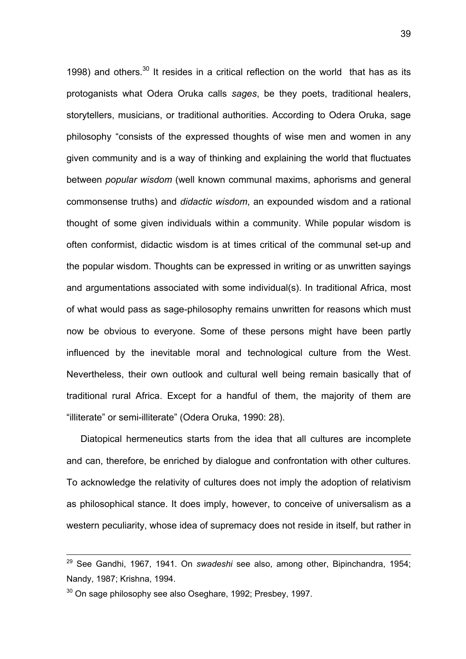1998) and others. $30$  It resides in a critical reflection on the world that has as its protoganists what Odera Oruka calls *sages*, be they poets, traditional healers, storytellers, musicians, or traditional authorities. According to Odera Oruka, sage philosophy "consists of the expressed thoughts of wise men and women in any given community and is a way of thinking and explaining the world that fluctuates between *popular wisdom* (well known communal maxims, aphorisms and general commonsense truths) and *didactic wisdom*, an expounded wisdom and a rational thought of some given individuals within a community. While popular wisdom is often conformist, didactic wisdom is at times critical of the communal set-up and the popular wisdom. Thoughts can be expressed in writing or as unwritten sayings and argumentations associated with some individual(s). In traditional Africa, most of what would pass as sage-philosophy remains unwritten for reasons which must now be obvious to everyone. Some of these persons might have been partly influenced by the inevitable moral and technological culture from the West. Nevertheless, their own outlook and cultural well being remain basically that of traditional rural Africa. Except for a handful of them, the majority of them are "illiterate" or semi-illiterate" (Odera Oruka, 1990: 28).

Diatopical hermeneutics starts from the idea that all cultures are incomplete and can, therefore, be enriched by dialogue and confrontation with other cultures. To acknowledge the relativity of cultures does not imply the adoption of relativism as philosophical stance. It does imply, however, to conceive of universalism as a western peculiarity, whose idea of supremacy does not reside in itself, but rather in

<sup>29</sup> See Gandhi, 1967, 1941. On *swadeshi* see also, among other, Bipinchandra, 1954; Nandy, 1987; Krishna, 1994.

 $30$  On sage philosophy see also Oseghare, 1992; Presbey, 1997.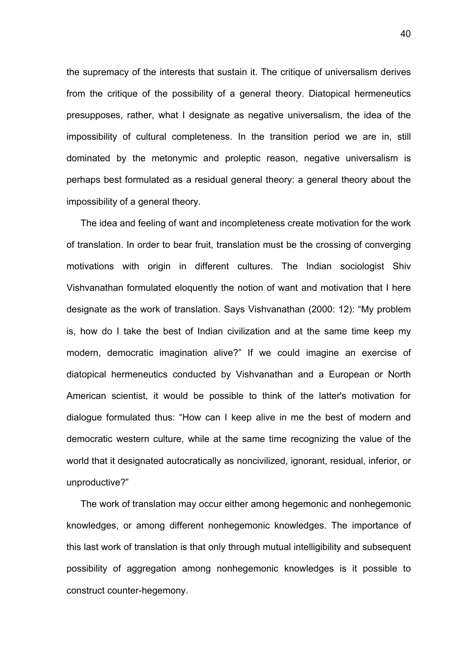the supremacy of the interests that sustain it. The critique of universalism derives from the critique of the possibility of a general theory. Diatopical hermeneutics presupposes, rather, what I designate as negative universalism, the idea of the impossibility of cultural completeness. In the transition period we are in, still dominated by the metonymic and proleptic reason, negative universalism is perhaps best formulated as a residual general theory: a general theory about the impossibility of a general theory.

The idea and feeling of want and incompleteness create motivation for the work of translation. In order to bear fruit, translation must be the crossing of converging motivations with origin in different cultures. The Indian sociologist Shiv Vishvanathan formulated eloquently the notion of want and motivation that I here designate as the work of translation. Says Vishvanathan (2000: 12): "My problem is, how do I take the best of Indian civilization and at the same time keep my modern, democratic imagination alive?" If we could imagine an exercise of diatopical hermeneutics conducted by Vishvanathan and a European or North American scientist, it would be possible to think of the latter's motivation for dialogue formulated thus: "How can I keep alive in me the best of modern and democratic western culture, while at the same time recognizing the value of the world that it designated autocratically as noncivilized, ignorant, residual, inferior, or unproductive?"

The work of translation may occur either among hegemonic and nonhegemonic knowledges, or among different nonhegemonic knowledges. The importance of this last work of translation is that only through mutual intelligibility and subsequent possibility of aggregation among nonhegemonic knowledges is it possible to construct counter-hegemony.

40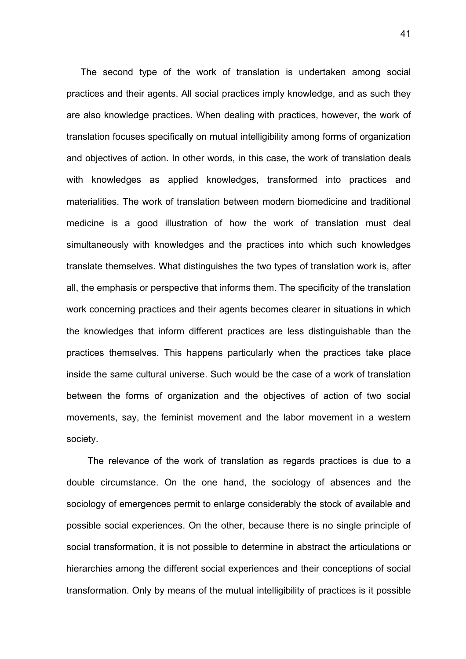The second type of the work of translation is undertaken among social practices and their agents. All social practices imply knowledge, and as such they are also knowledge practices. When dealing with practices, however, the work of translation focuses specifically on mutual intelligibility among forms of organization and objectives of action. In other words, in this case, the work of translation deals with knowledges as applied knowledges, transformed into practices and materialities. The work of translation between modern biomedicine and traditional medicine is a good illustration of how the work of translation must deal simultaneously with knowledges and the practices into which such knowledges translate themselves. What distinguishes the two types of translation work is, after all, the emphasis or perspective that informs them. The specificity of the translation work concerning practices and their agents becomes clearer in situations in which the knowledges that inform different practices are less distinguishable than the practices themselves. This happens particularly when the practices take place inside the same cultural universe. Such would be the case of a work of translation between the forms of organization and the objectives of action of two social movements, say, the feminist movement and the labor movement in a western society.

The relevance of the work of translation as regards practices is due to a double circumstance. On the one hand, the sociology of absences and the sociology of emergences permit to enlarge considerably the stock of available and possible social experiences. On the other, because there is no single principle of social transformation, it is not possible to determine in abstract the articulations or hierarchies among the different social experiences and their conceptions of social transformation. Only by means of the mutual intelligibility of practices is it possible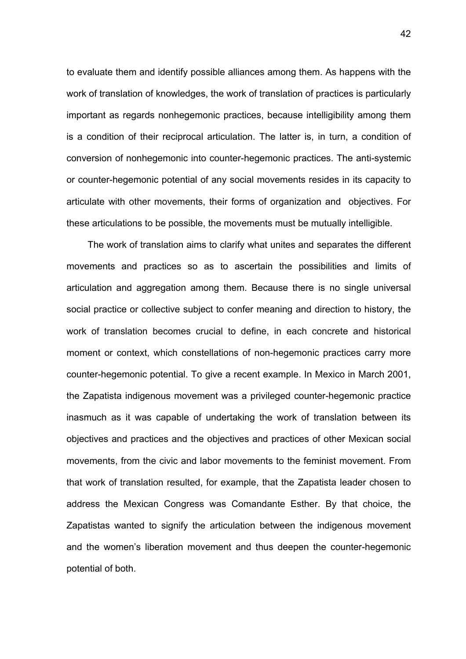to evaluate them and identify possible alliances among them. As happens with the work of translation of knowledges, the work of translation of practices is particularly important as regards nonhegemonic practices, because intelligibility among them is a condition of their reciprocal articulation. The latter is, in turn, a condition of conversion of nonhegemonic into counter-hegemonic practices. The anti-systemic or counter-hegemonic potential of any social movements resides in its capacity to articulate with other movements, their forms of organization and objectives. For these articulations to be possible, the movements must be mutually intelligible.

The work of translation aims to clarify what unites and separates the different movements and practices so as to ascertain the possibilities and limits of articulation and aggregation among them. Because there is no single universal social practice or collective subject to confer meaning and direction to history, the work of translation becomes crucial to define, in each concrete and historical moment or context, which constellations of non-hegemonic practices carry more counter-hegemonic potential. To give a recent example. In Mexico in March 2001, the Zapatista indigenous movement was a privileged counter-hegemonic practice inasmuch as it was capable of undertaking the work of translation between its objectives and practices and the objectives and practices of other Mexican social movements, from the civic and labor movements to the feminist movement. From that work of translation resulted, for example, that the Zapatista leader chosen to address the Mexican Congress was Comandante Esther. By that choice, the Zapatistas wanted to signify the articulation between the indigenous movement and the women's liberation movement and thus deepen the counter-hegemonic potential of both.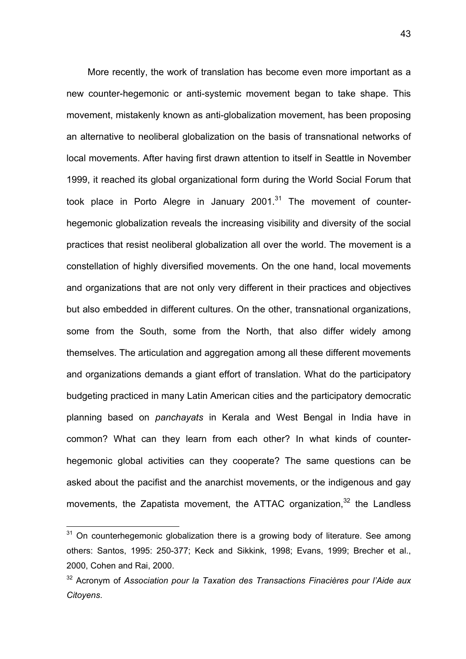More recently, the work of translation has become even more important as a new counter-hegemonic or anti-systemic movement began to take shape. This movement, mistakenly known as anti-globalization movement, has been proposing an alternative to neoliberal globalization on the basis of transnational networks of local movements. After having first drawn attention to itself in Seattle in November 1999, it reached its global organizational form during the World Social Forum that took place in Porto Alegre in January 2001. $31$  The movement of counterhegemonic globalization reveals the increasing visibility and diversity of the social practices that resist neoliberal globalization all over the world. The movement is a constellation of highly diversified movements. On the one hand, local movements and organizations that are not only very different in their practices and objectives but also embedded in different cultures. On the other, transnational organizations, some from the South, some from the North, that also differ widely among themselves. The articulation and aggregation among all these different movements and organizations demands a giant effort of translation. What do the participatory budgeting practiced in many Latin American cities and the participatory democratic planning based on *panchayats* in Kerala and West Bengal in India have in common? What can they learn from each other? In what kinds of counterhegemonic global activities can they cooperate? The same questions can be asked about the pacifist and the anarchist movements, or the indigenous and gay movements, the Zapatista movement, the ATTAC organization, $32$  the Landless

 $31$  On counterhegemonic globalization there is a growing body of literature. See among others: Santos, 1995: 250-377; Keck and Sikkink, 1998; Evans, 1999; Brecher et al., 2000, Cohen and Rai, 2000.

<sup>32</sup> Acronym of *Association pour la Taxation des Transactions Finacières pour l'Aide aux Citoyens*.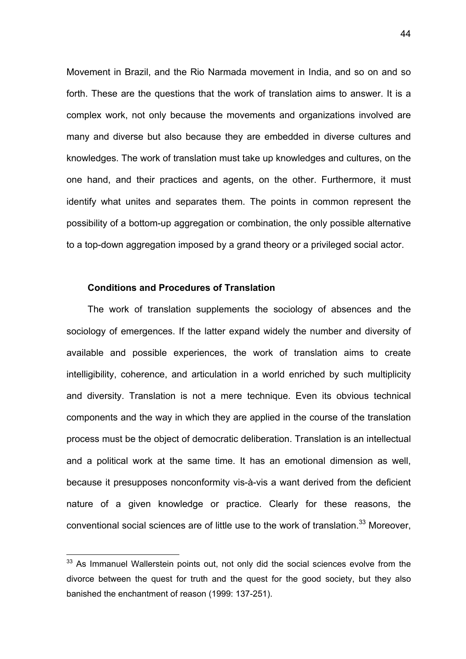Movement in Brazil, and the Rio Narmada movement in India, and so on and so forth. These are the questions that the work of translation aims to answer. It is a complex work, not only because the movements and organizations involved are many and diverse but also because they are embedded in diverse cultures and knowledges. The work of translation must take up knowledges and cultures, on the one hand, and their practices and agents, on the other. Furthermore, it must identify what unites and separates them. The points in common represent the possibility of a bottom-up aggregation or combination, the only possible alternative to a top-down aggregation imposed by a grand theory or a privileged social actor.

## **Conditions and Procedures of Translation**

 $\overline{a}$ 

The work of translation supplements the sociology of absences and the sociology of emergences. If the latter expand widely the number and diversity of available and possible experiences, the work of translation aims to create intelligibility, coherence, and articulation in a world enriched by such multiplicity and diversity. Translation is not a mere technique. Even its obvious technical components and the way in which they are applied in the course of the translation process must be the object of democratic deliberation. Translation is an intellectual and a political work at the same time. It has an emotional dimension as well, because it presupposes nonconformity vis-à-vis a want derived from the deficient nature of a given knowledge or practice. Clearly for these reasons, the conventional social sciences are of little use to the work of translation.<sup>33</sup> Moreover,

<sup>&</sup>lt;sup>33</sup> As Immanuel Wallerstein points out, not only did the social sciences evolve from the divorce between the quest for truth and the quest for the good society, but they also banished the enchantment of reason (1999: 137-251).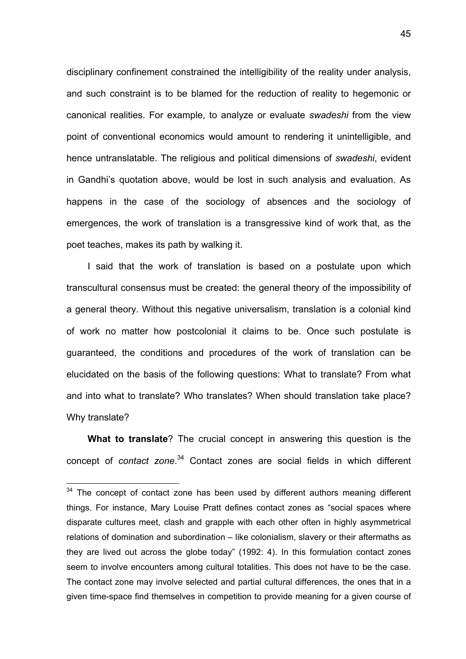disciplinary confinement constrained the intelligibility of the reality under analysis, and such constraint is to be blamed for the reduction of reality to hegemonic or canonical realities. For example, to analyze or evaluate *swadeshi* from the view point of conventional economics would amount to rendering it unintelligible, and hence untranslatable. The religious and political dimensions of *swadeshi*, evident in Gandhi's quotation above, would be lost in such analysis and evaluation. As happens in the case of the sociology of absences and the sociology of emergences, the work of translation is a transgressive kind of work that, as the poet teaches, makes its path by walking it.

I said that the work of translation is based on a postulate upon which transcultural consensus must be created: the general theory of the impossibility of a general theory. Without this negative universalism, translation is a colonial kind of work no matter how postcolonial it claims to be. Once such postulate is guaranteed, the conditions and procedures of the work of translation can be elucidated on the basis of the following questions: What to translate? From what and into what to translate? Who translates? When should translation take place? Why translate?

**What to translate**? The crucial concept in answering this question is the concept of *contact zone*.<sup>34</sup> Contact zones are social fields in which different

<sup>&</sup>lt;sup>34</sup> The concept of contact zone has been used by different authors meaning different things. For instance, Mary Louise Pratt defines contact zones as "social spaces where disparate cultures meet, clash and grapple with each other often in highly asymmetrical relations of domination and subordination – like colonialism, slavery or their aftermaths as they are lived out across the globe today" (1992: 4). In this formulation contact zones seem to involve encounters among cultural totalities. This does not have to be the case. The contact zone may involve selected and partial cultural differences, the ones that in a given time-space find themselves in competition to provide meaning for a given course of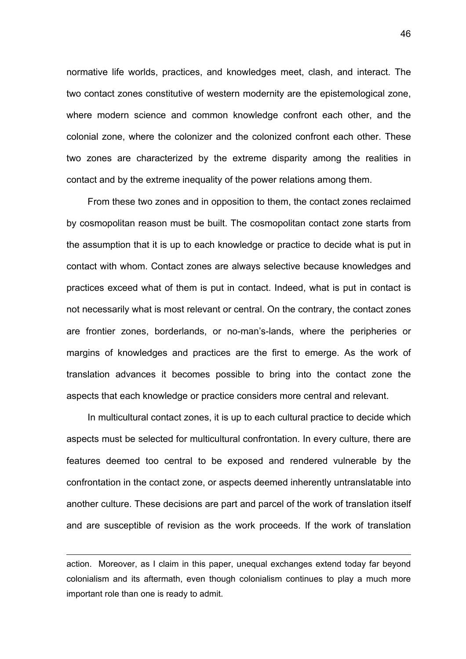normative life worlds, practices, and knowledges meet, clash, and interact. The two contact zones constitutive of western modernity are the epistemological zone, where modern science and common knowledge confront each other, and the colonial zone, where the colonizer and the colonized confront each other. These two zones are characterized by the extreme disparity among the realities in contact and by the extreme inequality of the power relations among them.

From these two zones and in opposition to them, the contact zones reclaimed by cosmopolitan reason must be built. The cosmopolitan contact zone starts from the assumption that it is up to each knowledge or practice to decide what is put in contact with whom. Contact zones are always selective because knowledges and practices exceed what of them is put in contact. Indeed, what is put in contact is not necessarily what is most relevant or central. On the contrary, the contact zones are frontier zones, borderlands, or no-man's-lands, where the peripheries or margins of knowledges and practices are the first to emerge. As the work of translation advances it becomes possible to bring into the contact zone the aspects that each knowledge or practice considers more central and relevant.

In multicultural contact zones, it is up to each cultural practice to decide which aspects must be selected for multicultural confrontation. In every culture, there are features deemed too central to be exposed and rendered vulnerable by the confrontation in the contact zone, or aspects deemed inherently untranslatable into another culture. These decisions are part and parcel of the work of translation itself and are susceptible of revision as the work proceeds. If the work of translation

action. Moreover, as I claim in this paper, unequal exchanges extend today far beyond colonialism and its aftermath, even though colonialism continues to play a much more important role than one is ready to admit.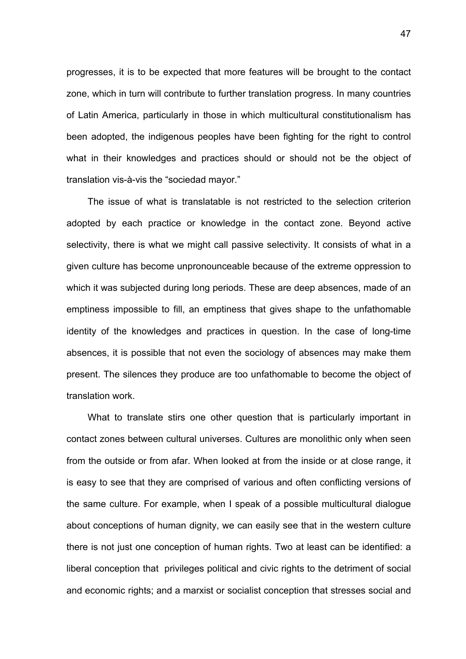progresses, it is to be expected that more features will be brought to the contact zone, which in turn will contribute to further translation progress. In many countries of Latin America, particularly in those in which multicultural constitutionalism has been adopted, the indigenous peoples have been fighting for the right to control what in their knowledges and practices should or should not be the object of translation vis-à-vis the "sociedad mayor."

The issue of what is translatable is not restricted to the selection criterion adopted by each practice or knowledge in the contact zone. Beyond active selectivity, there is what we might call passive selectivity. It consists of what in a given culture has become unpronounceable because of the extreme oppression to which it was subjected during long periods. These are deep absences, made of an emptiness impossible to fill, an emptiness that gives shape to the unfathomable identity of the knowledges and practices in question. In the case of long-time absences, it is possible that not even the sociology of absences may make them present. The silences they produce are too unfathomable to become the object of translation work.

What to translate stirs one other question that is particularly important in contact zones between cultural universes. Cultures are monolithic only when seen from the outside or from afar. When looked at from the inside or at close range, it is easy to see that they are comprised of various and often conflicting versions of the same culture. For example, when I speak of a possible multicultural dialogue about conceptions of human dignity, we can easily see that in the western culture there is not just one conception of human rights. Two at least can be identified: a liberal conception that privileges political and civic rights to the detriment of social and economic rights; and a marxist or socialist conception that stresses social and

47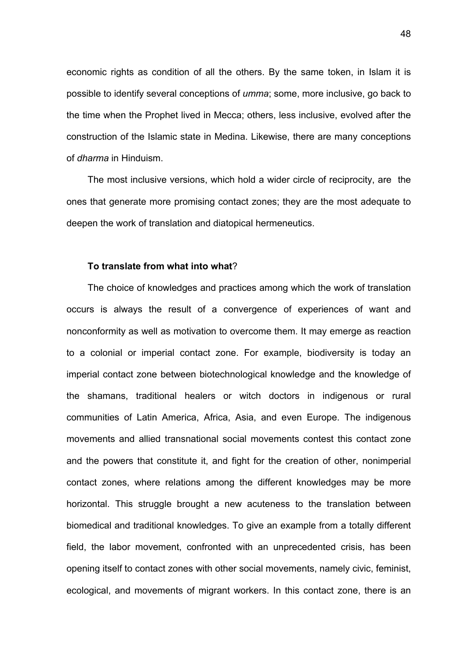economic rights as condition of all the others. By the same token, in Islam it is possible to identify several conceptions of *umma*; some, more inclusive, go back to the time when the Prophet lived in Mecca; others, less inclusive, evolved after the construction of the Islamic state in Medina. Likewise, there are many conceptions of *dharma* in Hinduism.

The most inclusive versions, which hold a wider circle of reciprocity, are the ones that generate more promising contact zones; they are the most adequate to deepen the work of translation and diatopical hermeneutics.

#### **To translate from what into what**?

The choice of knowledges and practices among which the work of translation occurs is always the result of a convergence of experiences of want and nonconformity as well as motivation to overcome them. It may emerge as reaction to a colonial or imperial contact zone. For example, biodiversity is today an imperial contact zone between biotechnological knowledge and the knowledge of the shamans, traditional healers or witch doctors in indigenous or rural communities of Latin America, Africa, Asia, and even Europe. The indigenous movements and allied transnational social movements contest this contact zone and the powers that constitute it, and fight for the creation of other, nonimperial contact zones, where relations among the different knowledges may be more horizontal. This struggle brought a new acuteness to the translation between biomedical and traditional knowledges. To give an example from a totally different field, the labor movement, confronted with an unprecedented crisis, has been opening itself to contact zones with other social movements, namely civic, feminist, ecological, and movements of migrant workers. In this contact zone, there is an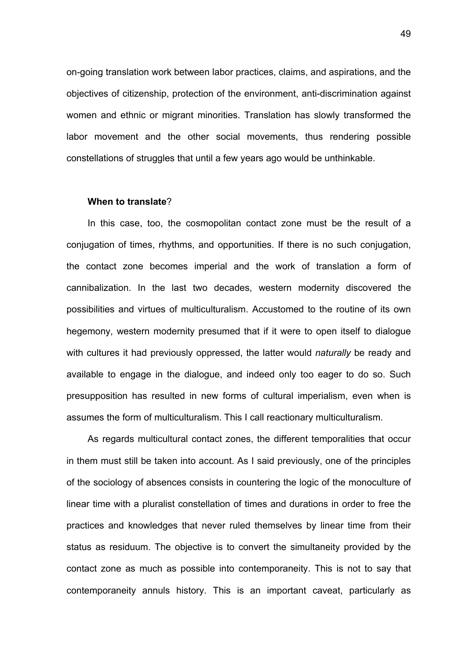on-going translation work between labor practices, claims, and aspirations, and the objectives of citizenship, protection of the environment, anti-discrimination against women and ethnic or migrant minorities. Translation has slowly transformed the labor movement and the other social movements, thus rendering possible constellations of struggles that until a few years ago would be unthinkable.

#### **When to translate**?

In this case, too, the cosmopolitan contact zone must be the result of a conjugation of times, rhythms, and opportunities. If there is no such conjugation, the contact zone becomes imperial and the work of translation a form of cannibalization. In the last two decades, western modernity discovered the possibilities and virtues of multiculturalism. Accustomed to the routine of its own hegemony, western modernity presumed that if it were to open itself to dialogue with cultures it had previously oppressed, the latter would *naturally* be ready and available to engage in the dialogue, and indeed only too eager to do so. Such presupposition has resulted in new forms of cultural imperialism, even when is assumes the form of multiculturalism. This I call reactionary multiculturalism.

As regards multicultural contact zones, the different temporalities that occur in them must still be taken into account. As I said previously, one of the principles of the sociology of absences consists in countering the logic of the monoculture of linear time with a pluralist constellation of times and durations in order to free the practices and knowledges that never ruled themselves by linear time from their status as residuum. The objective is to convert the simultaneity provided by the contact zone as much as possible into contemporaneity. This is not to say that contemporaneity annuls history. This is an important caveat, particularly as

49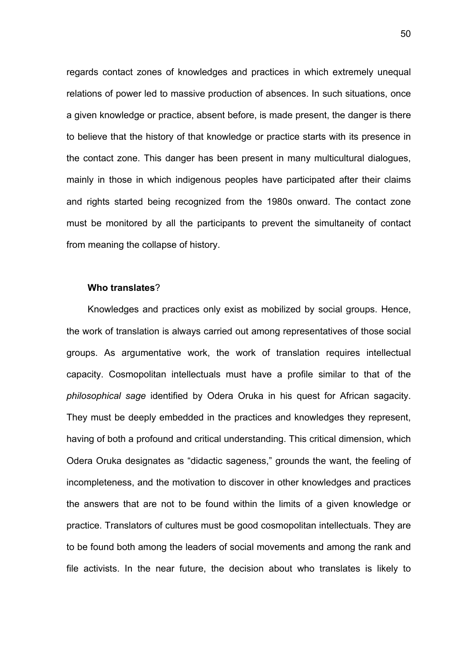regards contact zones of knowledges and practices in which extremely unequal relations of power led to massive production of absences. In such situations, once a given knowledge or practice, absent before, is made present, the danger is there to believe that the history of that knowledge or practice starts with its presence in the contact zone. This danger has been present in many multicultural dialogues, mainly in those in which indigenous peoples have participated after their claims and rights started being recognized from the 1980s onward. The contact zone must be monitored by all the participants to prevent the simultaneity of contact from meaning the collapse of history.

## **Who translates**?

Knowledges and practices only exist as mobilized by social groups. Hence, the work of translation is always carried out among representatives of those social groups. As argumentative work, the work of translation requires intellectual capacity. Cosmopolitan intellectuals must have a profile similar to that of the *philosophical sage* identified by Odera Oruka in his quest for African sagacity. They must be deeply embedded in the practices and knowledges they represent, having of both a profound and critical understanding. This critical dimension, which Odera Oruka designates as "didactic sageness," grounds the want, the feeling of incompleteness, and the motivation to discover in other knowledges and practices the answers that are not to be found within the limits of a given knowledge or practice. Translators of cultures must be good cosmopolitan intellectuals. They are to be found both among the leaders of social movements and among the rank and file activists. In the near future, the decision about who translates is likely to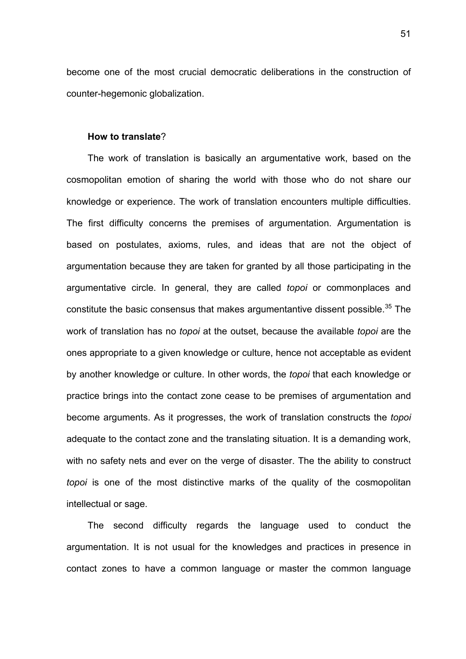become one of the most crucial democratic deliberations in the construction of counter-hegemonic globalization.

#### **How to translate**?

The work of translation is basically an argumentative work, based on the cosmopolitan emotion of sharing the world with those who do not share our knowledge or experience. The work of translation encounters multiple difficulties. The first difficulty concerns the premises of argumentation. Argumentation is based on postulates, axioms, rules, and ideas that are not the object of argumentation because they are taken for granted by all those participating in the argumentative circle. In general, they are called *topoi* or commonplaces and constitute the basic consensus that makes argumentantive dissent possible.<sup>35</sup> The work of translation has no *topoi* at the outset, because the available *topoi* are the ones appropriate to a given knowledge or culture, hence not acceptable as evident by another knowledge or culture. In other words, the *topoi* that each knowledge or practice brings into the contact zone cease to be premises of argumentation and become arguments. As it progresses, the work of translation constructs the *topoi* adequate to the contact zone and the translating situation. It is a demanding work, with no safety nets and ever on the verge of disaster. The the ability to construct *topoi* is one of the most distinctive marks of the quality of the cosmopolitan intellectual or sage.

The second difficulty regards the language used to conduct the argumentation. It is not usual for the knowledges and practices in presence in contact zones to have a common language or master the common language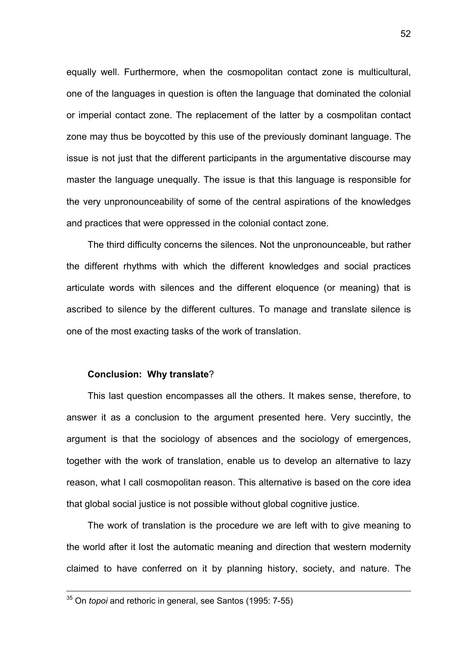equally well. Furthermore, when the cosmopolitan contact zone is multicultural, one of the languages in question is often the language that dominated the colonial or imperial contact zone. The replacement of the latter by a cosmpolitan contact zone may thus be boycotted by this use of the previously dominant language. The issue is not just that the different participants in the argumentative discourse may master the language unequally. The issue is that this language is responsible for the very unpronounceability of some of the central aspirations of the knowledges and practices that were oppressed in the colonial contact zone.

The third difficulty concerns the silences. Not the unpronounceable, but rather the different rhythms with which the different knowledges and social practices articulate words with silences and the different eloquence (or meaning) that is ascribed to silence by the different cultures. To manage and translate silence is one of the most exacting tasks of the work of translation.

## **Conclusion: Why translate**?

This last question encompasses all the others. It makes sense, therefore, to answer it as a conclusion to the argument presented here. Very succintly, the argument is that the sociology of absences and the sociology of emergences, together with the work of translation, enable us to develop an alternative to lazy reason, what I call cosmopolitan reason. This alternative is based on the core idea that global social justice is not possible without global cognitive justice.

The work of translation is the procedure we are left with to give meaning to the world after it lost the automatic meaning and direction that western modernity claimed to have conferred on it by planning history, society, and nature. The

<sup>35</sup> On *topoi* and rethoric in general, see Santos (1995: 7-55)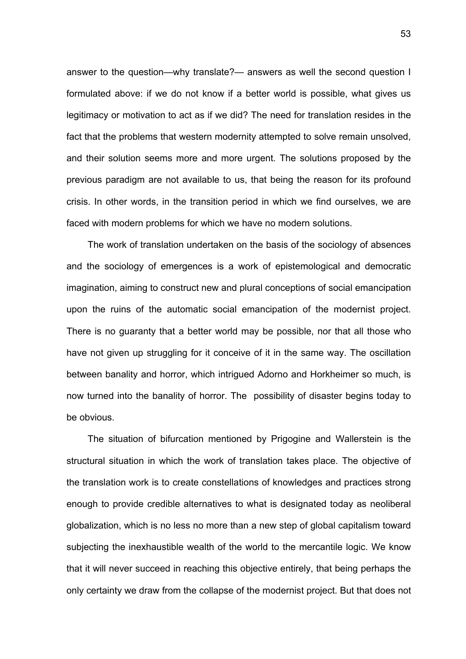answer to the question—why translate?— answers as well the second question I formulated above: if we do not know if a better world is possible, what gives us legitimacy or motivation to act as if we did? The need for translation resides in the fact that the problems that western modernity attempted to solve remain unsolved, and their solution seems more and more urgent. The solutions proposed by the previous paradigm are not available to us, that being the reason for its profound crisis. In other words, in the transition period in which we find ourselves, we are faced with modern problems for which we have no modern solutions.

The work of translation undertaken on the basis of the sociology of absences and the sociology of emergences is a work of epistemological and democratic imagination, aiming to construct new and plural conceptions of social emancipation upon the ruins of the automatic social emancipation of the modernist project. There is no guaranty that a better world may be possible, nor that all those who have not given up struggling for it conceive of it in the same way. The oscillation between banality and horror, which intrigued Adorno and Horkheimer so much, is now turned into the banality of horror. The possibility of disaster begins today to be obvious.

The situation of bifurcation mentioned by Prigogine and Wallerstein is the structural situation in which the work of translation takes place. The objective of the translation work is to create constellations of knowledges and practices strong enough to provide credible alternatives to what is designated today as neoliberal globalization, which is no less no more than a new step of global capitalism toward subjecting the inexhaustible wealth of the world to the mercantile logic. We know that it will never succeed in reaching this objective entirely, that being perhaps the only certainty we draw from the collapse of the modernist project. But that does not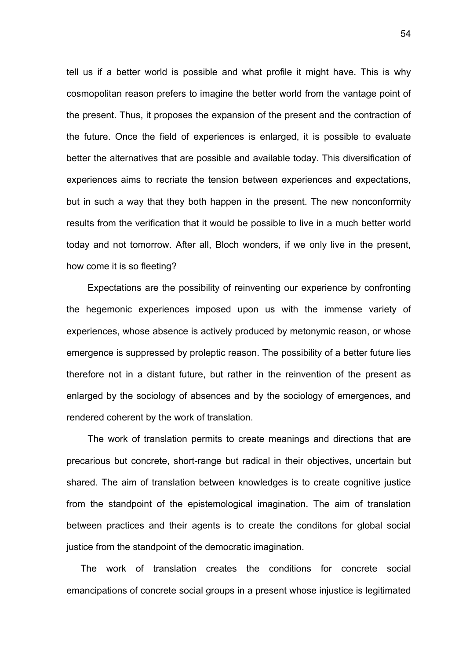tell us if a better world is possible and what profile it might have. This is why cosmopolitan reason prefers to imagine the better world from the vantage point of the present. Thus, it proposes the expansion of the present and the contraction of the future. Once the field of experiences is enlarged, it is possible to evaluate better the alternatives that are possible and available today. This diversification of experiences aims to recriate the tension between experiences and expectations, but in such a way that they both happen in the present. The new nonconformity results from the verification that it would be possible to live in a much better world today and not tomorrow. After all, Bloch wonders, if we only live in the present, how come it is so fleeting?

Expectations are the possibility of reinventing our experience by confronting the hegemonic experiences imposed upon us with the immense variety of experiences, whose absence is actively produced by metonymic reason, or whose emergence is suppressed by proleptic reason. The possibility of a better future lies therefore not in a distant future, but rather in the reinvention of the present as enlarged by the sociology of absences and by the sociology of emergences, and rendered coherent by the work of translation.

The work of translation permits to create meanings and directions that are precarious but concrete, short-range but radical in their objectives, uncertain but shared. The aim of translation between knowledges is to create cognitive justice from the standpoint of the epistemological imagination. The aim of translation between practices and their agents is to create the conditons for global social justice from the standpoint of the democratic imagination.

The work of translation creates the conditions for concrete social emancipations of concrete social groups in a present whose injustice is legitimated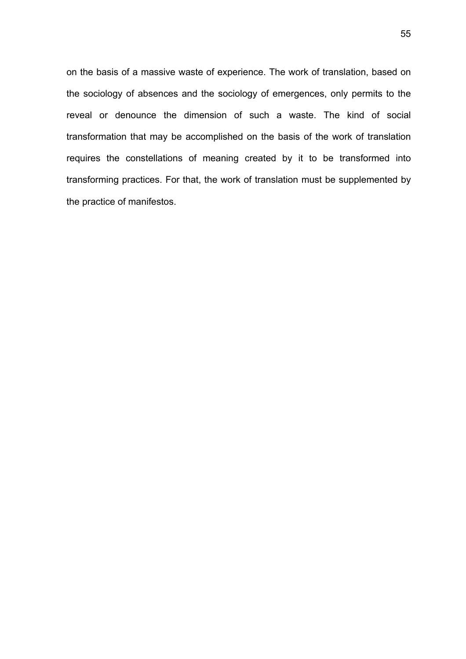on the basis of a massive waste of experience. The work of translation, based on the sociology of absences and the sociology of emergences, only permits to the reveal or denounce the dimension of such a waste. The kind of social transformation that may be accomplished on the basis of the work of translation requires the constellations of meaning created by it to be transformed into transforming practices. For that, the work of translation must be supplemented by the practice of manifestos.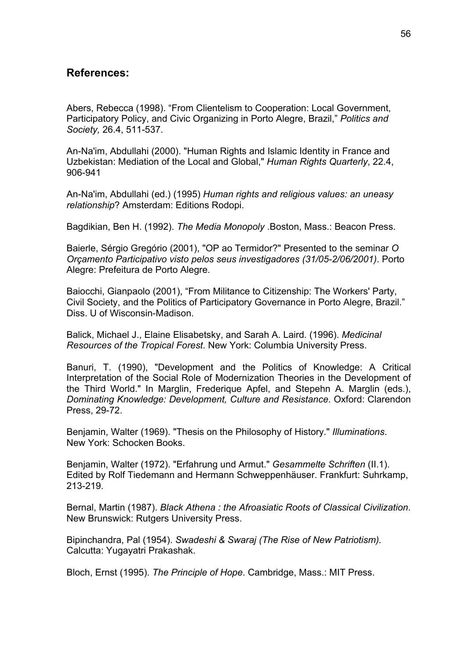## **References:**

Abers, Rebecca (1998). "From Clientelism to Cooperation: Local Government, Participatory Policy, and Civic Organizing in Porto Alegre, Brazil," *Politics and Society,* 26.4, 511-537.

An-Na'im, Abdullahi (2000). "Human Rights and Islamic Identity in France and Uzbekistan: Mediation of the Local and Global," *Human Rights Quarterly*, 22.4, 906-941

An-Na'im, Abdullahi (ed.) (1995) *Human rights and religious values: an uneasy relationship*? Amsterdam: Editions Rodopi.

Bagdikian, Ben H. (1992). *The Media Monopoly* .Boston, Mass.: Beacon Press.

Baierle, Sérgio Gregório (2001), "OP ao Termidor?" Presented to the seminar *O Orçamento Participativo visto pelos seus investigadores (31/05-2/06/2001)*. Porto Alegre: Prefeitura de Porto Alegre.

Baiocchi, Gianpaolo (2001), "From Militance to Citizenship: The Workers' Party, Civil Society, and the Politics of Participatory Governance in Porto Alegre, Brazil." Diss. U of Wisconsin-Madison.

Balick, Michael J., Elaine Elisabetsky, and Sarah A. Laird. (1996). *Medicinal Resources of the Tropical Forest*. New York: Columbia University Press.

Banuri, T. (1990), "Development and the Politics of Knowledge: A Critical Interpretation of the Social Role of Modernization Theories in the Development of the Third World." In Marglin, Frederique Apfel, and Stepehn A. Marglin (eds.), *Dominating Knowledge: Development, Culture and Resistance*. Oxford: Clarendon Press, 29-72.

Benjamin, Walter (1969). "Thesis on the Philosophy of History." *Illuminations*. New York: Schocken Books.

Benjamin, Walter (1972). "Erfahrung und Armut." *Gesammelte Schriften* (II.1). Edited by Rolf Tiedemann and Hermann Schweppenhäuser. Frankfurt: Suhrkamp, 213-219.

Bernal, Martin (1987). *Black Athena : the Afroasiatic Roots of Classical Civilization*. New Brunswick: Rutgers University Press.

Bipinchandra, Pal (1954). *Swadeshi & Swaraj (The Rise of New Patriotism).* Calcutta: Yugayatri Prakashak.

Bloch, Ernst (1995). *The Principle of Hope*. Cambridge, Mass.: MIT Press.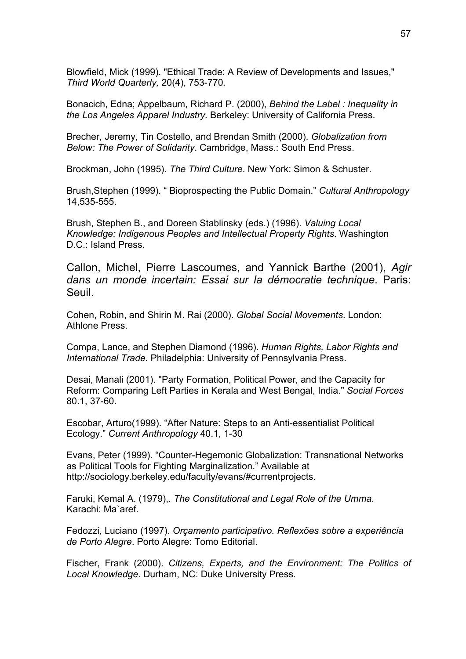Blowfield, Mick (1999). "Ethical Trade: A Review of Developments and Issues," *Third World Quarterly,* 20(4), 753-770*.*

Bonacich, Edna; Appelbaum, Richard P. (2000), *Behind the Label : Inequality in the Los Angeles Apparel Industry.* Berkeley: University of California Press.

Brecher, Jeremy, Tin Costello, and Brendan Smith (2000). *Globalization from Below: The Power of Solidarity*. Cambridge, Mass.: South End Press.

Brockman, John (1995). *The Third Culture*. New York: Simon & Schuster.

Brush,Stephen (1999). " Bioprospecting the Public Domain." *Cultural Anthropology* 14,535-555.

Brush, Stephen B., and Doreen Stablinsky (eds.) (1996). *Valuing Local Knowledge: Indigenous Peoples and Intellectual Property Rights*. Washington D.C.: Island Press.

Callon, Michel, Pierre Lascoumes, and Yannick Barthe (2001), *Agir dans un monde incertain: Essai sur la démocratie technique*. Paris: Seuil.

Cohen, Robin, and Shirin M. Rai (2000). *Global Social Movements*. London: Athlone Press.

Compa, Lance, and Stephen Diamond (1996). *Human Rights, Labor Rights and International Trade.* Philadelphia: University of Pennsylvania Press.

Desai, Manali (2001). "Party Formation, Political Power, and the Capacity for Reform: Comparing Left Parties in Kerala and West Bengal, India." *Social Forces* 80.1, 37-60.

Escobar, Arturo(1999). "After Nature: Steps to an Anti-essentialist Political Ecology." *Current Anthropology* 40.1, 1-30

Evans, Peter (1999). "Counter-Hegemonic Globalization: Transnational Networks as Political Tools for Fighting Marginalization." Available at http://sociology.berkeley.edu/faculty/evans/#currentprojects.

Faruki, Kemal A. (1979),. *The Constitutional and Legal Role of the Umma*. Karachi: Ma`aref.

Fedozzi, Luciano (1997). *Orçamento participativo. Reflexões sobre a experiência de Porto Alegre*. Porto Alegre: Tomo Editorial.

Fischer, Frank (2000). *Citizens, Experts, and the Environment: The Politics of Local Knowledge*. Durham, NC: Duke University Press.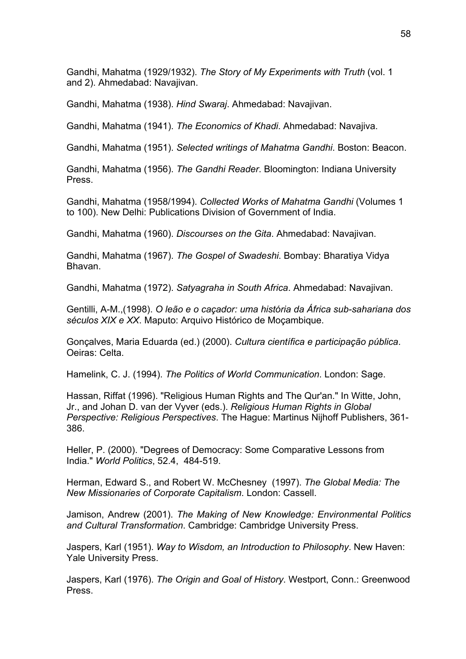Gandhi, Mahatma (1929/1932). *The Story of My Experiments with Truth* (vol. 1 and 2). Ahmedabad: Navajivan.

Gandhi, Mahatma (1938). *Hind Swaraj*. Ahmedabad: Navajivan.

Gandhi, Mahatma (1941). *The Economics of Khadi*. Ahmedabad: Navajiva.

Gandhi, Mahatma (1951). *Selected writings of Mahatma Gandhi*. Boston: Beacon.

Gandhi, Mahatma (1956). *The Gandhi Reader*. Bloomington: Indiana University Press.

Gandhi, Mahatma (1958/1994). *Collected Works of Mahatma Gandhi* (Volumes 1 to 100). New Delhi: Publications Division of Government of India.

Gandhi, Mahatma (1960). *Discourses on the Gita*. Ahmedabad: Navajivan.

Gandhi, Mahatma (1967). *The Gospel of Swadeshi*. Bombay: Bharatiya Vidya Bhavan.

Gandhi, Mahatma (1972). *Satyagraha in South Africa*. Ahmedabad: Navajivan.

Gentilli, A-M.,(1998). *O leão e o caçador: uma história da África sub-sahariana dos séculos XIX e XX*. Maputo: Arquivo Histórico de Moçambique.

Gonçalves, Maria Eduarda (ed.) (2000). *Cultura científica e participação pública*. Oeiras: Celta.

Hamelink, C. J. (1994). *The Politics of World Communication*. London: Sage.

Hassan, Riffat (1996). "Religious Human Rights and The Qur'an." In Witte, John, Jr., and Johan D. van der Vyver (eds.). *Religious Human Rights in Global Perspective: Religious Perspectives*. The Hague: Martinus Nijhoff Publishers, 361- 386.

Heller, P. (2000). "Degrees of Democracy: Some Comparative Lessons from India." *World Politics*, 52.4, 484-519.

Herman, Edward S., and Robert W. McChesney (1997). *The Global Media: The New Missionaries of Corporate Capitalism*. London: Cassell.

Jamison, Andrew (2001). *The Making of New Knowledge: Environmental Politics and Cultural Transformation*. Cambridge: Cambridge University Press.

Jaspers, Karl (1951). *Way to Wisdom, an Introduction to Philosophy*. New Haven: Yale University Press.

Jaspers, Karl (1976). *The Origin and Goal of History*. Westport, Conn.: Greenwood Press.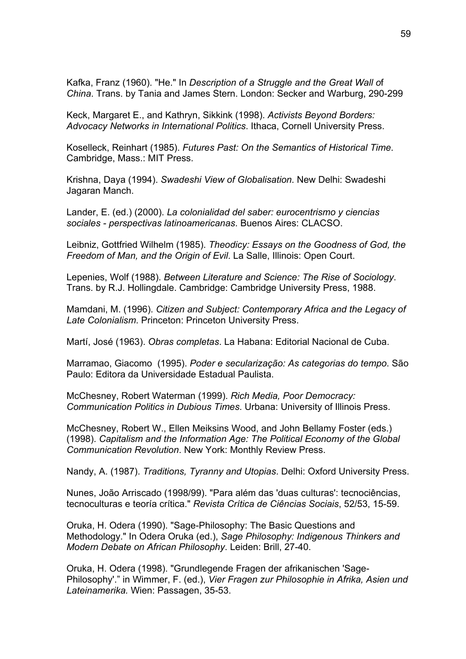Kafka, Franz (1960). "He." In *Description of a Struggle and the Great Wall o*f *China*. Trans. by Tania and James Stern. London: Secker and Warburg, 290-299

Keck, Margaret E., and Kathryn, Sikkink (1998). *Activists Beyond Borders: Advocacy Networks in International Politics*. Ithaca, Cornell University Press.

Koselleck, Reinhart (1985). *Futures Past: On the Semantics of Historical Time*. Cambridge, Mass.: MIT Press.

Krishna, Daya (1994). *Swadeshi View of Globalisation*. New Delhi: Swadeshi Jagaran Manch.

Lander, E. (ed.) (2000). *La colonialidad del saber: eurocentrismo y ciencias sociales - perspectivas latinoamericanas*. Buenos Aires: CLACSO.

Leibniz, Gottfried Wilhelm (1985). *Theodicy: Essays on the Goodness of God, the Freedom of Man, and the Origin of Evil*. La Salle, Illinois: Open Court.

Lepenies, Wolf (1988). *Between Literature and Science: The Rise of Sociology*. Trans. by R.J. Hollingdale. Cambridge: Cambridge University Press, 1988.

Mamdani, M. (1996). *Citizen and Subject: Contemporary Africa and the Legacy of Late Colonialism*. Princeton: Princeton University Press.

Martí, José (1963). *Obras completas*. La Habana: Editorial Nacional de Cuba.

Marramao, Giacomo (1995). *Poder e secularização: As categorias do tempo*. São Paulo: Editora da Universidade Estadual Paulista.

McChesney, Robert Waterman (1999). *Rich Media, Poor Democracy: Communication Politics in Dubious Times*. Urbana: University of Illinois Press.

McChesney, Robert W., Ellen Meiksins Wood, and John Bellamy Foster (eds.) (1998). *Capitalism and the Information Age: The Political Economy of the Global Communication Revolution*. New York: Monthly Review Press.

Nandy, A. (1987). *Traditions, Tyranny and Utopias*. Delhi: Oxford University Press.

Nunes, João Arriscado (1998/99). "Para além das 'duas culturas': tecnociências, tecnoculturas e teoría crítica." *Revista Crítica de Ciências Sociais*, 52/53, 15-59.

Oruka, H. Odera (1990). "Sage-Philosophy: The Basic Questions and Methodology." In Odera Oruka (ed.), *Sage Philosophy: Indigenous Thinkers and Modern Debate on African Philosophy*. Leiden: Brill, 27-40.

Oruka, H. Odera (1998). "Grundlegende Fragen der afrikanischen 'Sage-Philosophy'." in Wimmer, F. (ed.), *Vier Fragen zur Philosophie in Afrika, Asien und Lateinamerika.* Wien: Passagen, 35-53.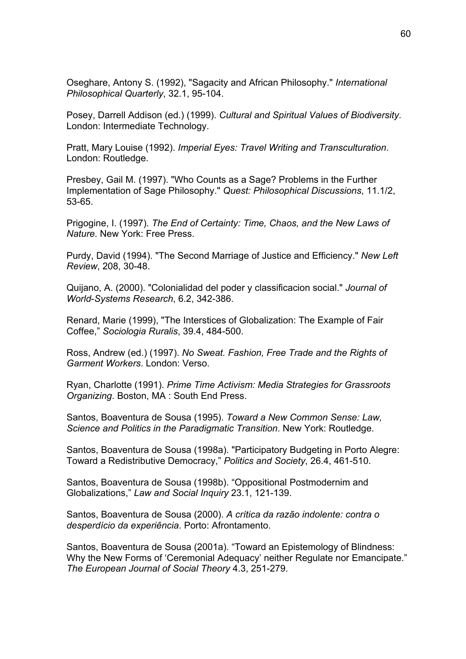Oseghare, Antony S. (1992), "Sagacity and African Philosophy." *International Philosophical Quarterly*, 32.1, 95-104.

Posey, Darrell Addison (ed.) (1999). *Cultural and Spiritual Values of Biodiversity*. London: Intermediate Technology.

Pratt, Mary Louise (1992). *Imperial Eyes: Travel Writing and Transculturation*. London: Routledge.

Presbey, Gail M. (1997). "Who Counts as a Sage? Problems in the Further Implementation of Sage Philosophy." *Quest: Philosophical Discussions*, 11.1/2, 53-65.

Prigogine, I. (1997). *The End of Certainty: Time, Chaos, and the New Laws of Nature*. New York: Free Press.

Purdy, David (1994). "The Second Marriage of Justice and Efficiency." *New Left Review*, 208, 30-48.

Quijano, A. (2000). "Colonialidad del poder y classificacion social." *Journal of World*-*Systems Research*, 6.2, 342-386.

Renard, Marie (1999), "The Interstices of Globalization: The Example of Fair Coffee," *Sociologia Ruralis*, 39.4, 484-500.

Ross, Andrew (ed.) (1997). *No Sweat. Fashion, Free Trade and the Rights of Garment Workers*. London: Verso.

Ryan, Charlotte (1991). *Prime Time Activism: Media Strategies for Grassroots Organizing*. Boston, MA : South End Press.

Santos, Boaventura de Sousa (1995). *Toward a New Common Sense: Law, Science and Politics in the Paradigmatic Transition*. New York: Routledge.

Santos, Boaventura de Sousa (1998a). "Participatory Budgeting in Porto Alegre: Toward a Redistributive Democracy," *Politics and Society*, 26.4, 461-510.

Santos, Boaventura de Sousa (1998b). "Oppositional Postmodernim and Globalizations," *Law and Social Inquiry* 23.1, 121-139.

Santos, Boaventura de Sousa (2000). *A crítica da razão indolente: contra o desperdício da experiência*. Porto: Afrontamento.

Santos, Boaventura de Sousa (2001a). "Toward an Epistemology of Blindness: Why the New Forms of 'Ceremonial Adequacy' neither Regulate nor Emancipate." *The European Journal of Social Theory* 4.3, 251-279.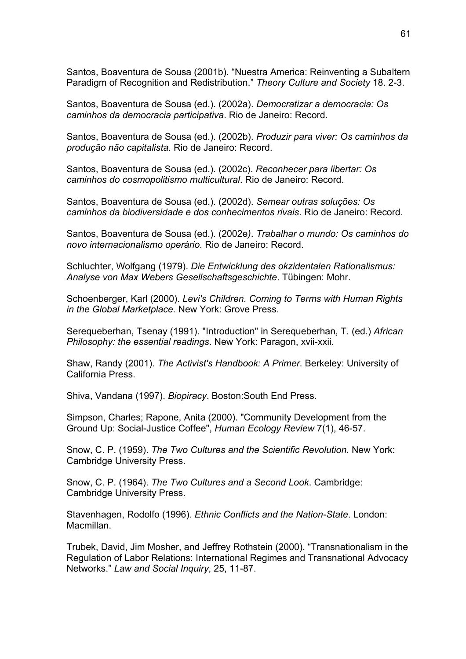Santos, Boaventura de Sousa (2001b). "Nuestra America: Reinventing a Subaltern Paradigm of Recognition and Redistribution." *Theory Culture and Society* 18. 2-3.

Santos, Boaventura de Sousa (ed.). (2002a). *Democratizar a democracia: Os caminhos da democracia participativa*. Rio de Janeiro: Record.

Santos, Boaventura de Sousa (ed.). (2002b). *Produzir para viver: Os caminhos da produção não capitalista*. Rio de Janeiro: Record.

Santos, Boaventura de Sousa (ed.). (2002c). *Reconhecer para libertar: Os caminhos do cosmopolitismo multicultural*. Rio de Janeiro: Record.

Santos, Boaventura de Sousa (ed.). (2002d). *Semear outras soluções: Os caminhos da biodiversidade e dos conhecimentos rivais*. Rio de Janeiro: Record.

Santos, Boaventura de Sousa (ed.). (2002e*)*. *Trabalhar o mundo: Os caminhos do novo internacionalismo operário.* Rio de Janeiro: Record.

Schluchter, Wolfgang (1979). *Die Entwicklung des okzidentalen Rationalismus: Analyse von Max Webers Gesellschaftsgeschichte*. Tübingen: Mohr.

Schoenberger, Karl (2000). *Levi's Children. Coming to Terms with Human Rights in the Global Marketplace.* New York: Grove Press.

Serequeberhan, Tsenay (1991). "Introduction" in Serequeberhan, T. (ed.) *African Philosophy: the essential readings*. New York: Paragon, xvii-xxii.

Shaw, Randy (2001). *The Activist's Handbook: A Primer*. Berkeley: University of California Press.

Shiva, Vandana (1997). *Biopiracy*. Boston:South End Press.

Simpson, Charles; Rapone, Anita (2000). "Community Development from the Ground Up: Social-Justice Coffee", *Human Ecology Review* 7(1), 46-57.

Snow, C. P. (1959). *The Two Cultures and the Scientific Revolution*. New York: Cambridge University Press.

Snow, C. P. (1964). *The Two Cultures and a Second Look*. Cambridge: Cambridge University Press.

Stavenhagen, Rodolfo (1996). *Ethnic Conflicts and the Nation-State*. London: Macmillan.

Trubek, David, Jim Mosher, and Jeffrey Rothstein (2000). "Transnationalism in the Regulation of Labor Relations: International Regimes and Transnational Advocacy Networks." *Law and Social Inquiry*, 25, 11-87.